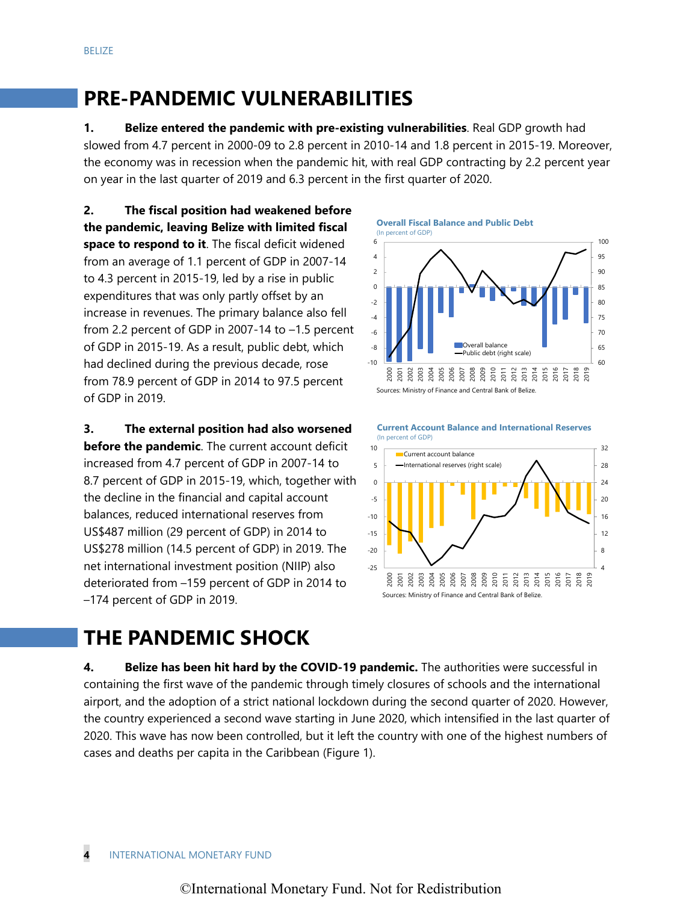# **PRE-PANDEMIC VULNERABILITIES**

**1. Belize entered the pandemic with pre-existing vulnerabilities**. Real GDP growth had slowed from 4.7 percent in 2000-09 to 2.8 percent in 2010-14 and 1.8 percent in 2015-19. Moreover, the economy was in recession when the pandemic hit, with real GDP contracting by 2.2 percent year on year in the last quarter of 2019 and 6.3 percent in the first quarter of 2020.

**2. The fiscal position had weakened before the pandemic, leaving Belize with limited fiscal space to respond to it**. The fiscal deficit widened from an average of 1.1 percent of GDP in 2007-14 to 4.3 percent in 2015-19, led by a rise in public expenditures that was only partly offset by an increase in revenues. The primary balance also fell from 2.2 percent of GDP in 2007-14 to –1.5 percent of GDP in 2015-19. As a result, public debt, which had declined during the previous decade, rose from 78.9 percent of GDP in 2014 to 97.5 percent of GDP in 2019.

**3. The external position had also worsened before the pandemic**. The current account deficit increased from 4.7 percent of GDP in 2007-14 to 8.7 percent of GDP in 2015-19, which, together with the decline in the financial and capital account balances, reduced international reserves from US\$487 million (29 percent of GDP) in 2014 to US\$278 million (14.5 percent of GDP) in 2019. The net international investment position (NIIP) also deteriorated from –159 percent of GDP in 2014 to –174 percent of GDP in 2019.

**Overall Fiscal Balance and Public Debt**





# **THE PANDEMIC SHOCK**

**4. Belize has been hit hard by the COVID-19 pandemic.** The authorities were successful in containing the first wave of the pandemic through timely closures of schools and the international airport, and the adoption of a strict national lockdown during the second quarter of 2020. However, the country experienced a second wave starting in June 2020, which intensified in the last quarter of 2020. This wave has now been controlled, but it left the country with one of the highest numbers of cases and deaths per capita in the Caribbean (Figure 1).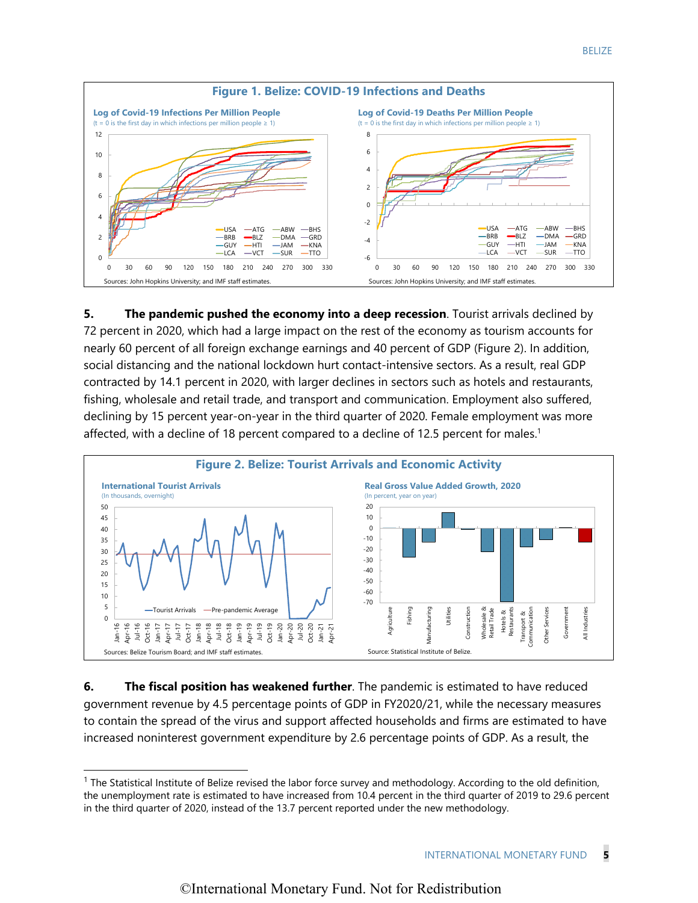

**5.** The pandemic pushed the economy into a deep recession. Tourist arrivals declined by 72 percent in 2020, which had a large impact on the rest of the economy as tourism accounts for nearly 60 percent of all foreign exchange earnings and 40 percent of GDP (Figure 2). In addition, social distancing and the national lockdown hurt contact-intensive sectors. As a result, real GDP contracted by 14.1 percent in 2020, with larger declines in sectors such as hotels and restaurants, fishing, wholesale and retail trade, and transport and communication. Employment also suffered, declining by 15 percent year-on-year in the third quarter of 2020. Female employment was more affected, with a decline of 18 percent compared to a decline of 12.5 percent for males.<sup>1</sup>



**6.** The fiscal position has weakened further. The pandemic is estimated to have reduced government revenue by 4.5 percentage points of GDP in FY2020/21, while the necessary measures to contain the spread of the virus and support affected households and firms are estimated to have increased noninterest government expenditure by 2.6 percentage points of GDP. As a result, the

 $1$  The Statistical Institute of Belize revised the labor force survey and methodology. According to the old definition, the unemployment rate is estimated to have increased from 10.4 percent in the third quarter of 2019 to 29.6 percent in the third quarter of 2020, instead of the 13.7 percent reported under the new methodology.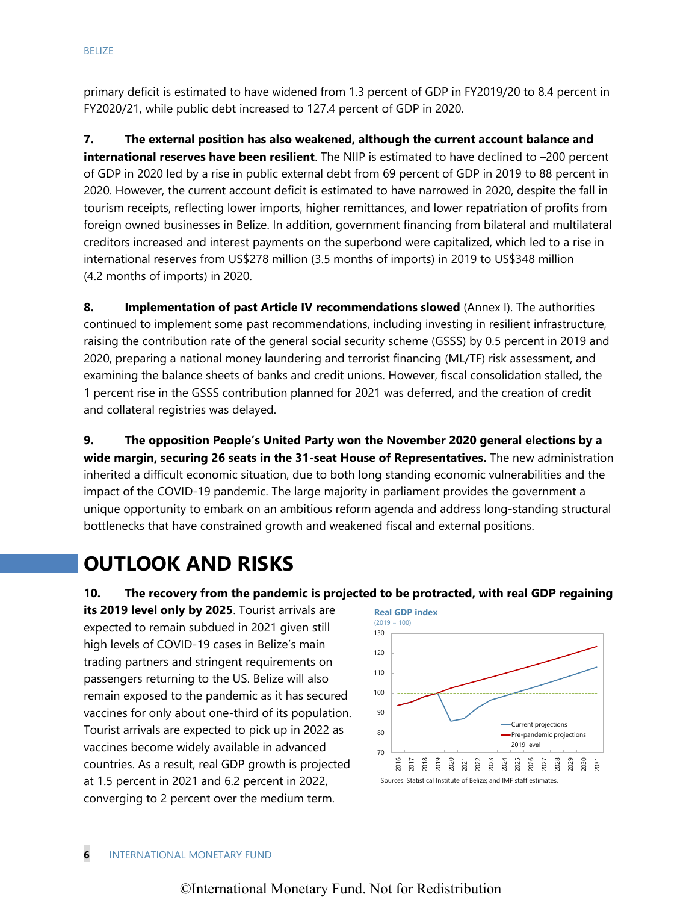primary deficit is estimated to have widened from 1.3 percent of GDP in FY2019/20 to 8.4 percent in FY2020/21, while public debt increased to 127.4 percent of GDP in 2020.

**7. The external position has also weakened, although the current account balance and international reserves have been resilient**. The NIIP is estimated to have declined to –200 percent of GDP in 2020 led by a rise in public external debt from 69 percent of GDP in 2019 to 88 percent in 2020. However, the current account deficit is estimated to have narrowed in 2020, despite the fall in tourism receipts, reflecting lower imports, higher remittances, and lower repatriation of profits from foreign owned businesses in Belize. In addition, government financing from bilateral and multilateral creditors increased and interest payments on the superbond were capitalized, which led to a rise in international reserves from US\$278 million (3.5 months of imports) in 2019 to US\$348 million (4.2 months of imports) in 2020.

**8. Implementation of past Article IV recommendations slowed** (Annex I). The authorities continued to implement some past recommendations, including investing in resilient infrastructure, raising the contribution rate of the general social security scheme (GSSS) by 0.5 percent in 2019 and 2020, preparing a national money laundering and terrorist financing (ML/TF) risk assessment, and examining the balance sheets of banks and credit unions. However, fiscal consolidation stalled, the 1 percent rise in the GSSS contribution planned for 2021 was deferred, and the creation of credit and collateral registries was delayed.

**9. The opposition People's United Party won the November 2020 general elections by a wide margin, securing 26 seats in the 31-seat House of Representatives.** The new administration inherited a difficult economic situation, due to both long standing economic vulnerabilities and the impact of the COVID-19 pandemic. The large majority in parliament provides the government a unique opportunity to embark on an ambitious reform agenda and address long-standing structural bottlenecks that have constrained growth and weakened fiscal and external positions.

# **OUTLOOK AND RISKS**

# **10. The recovery from the pandemic is projected to be protracted, with real GDP regaining**

**its 2019 level only by 2025**. Tourist arrivals are expected to remain subdued in 2021 given still high levels of COVID-19 cases in Belize's main trading partners and stringent requirements on passengers returning to the US. Belize will also remain exposed to the pandemic as it has secured vaccines for only about one-third of its population. Tourist arrivals are expected to pick up in 2022 as vaccines become widely available in advanced countries. As a result, real GDP growth is projected at 1.5 percent in 2021 and 6.2 percent in 2022, converging to 2 percent over the medium term.

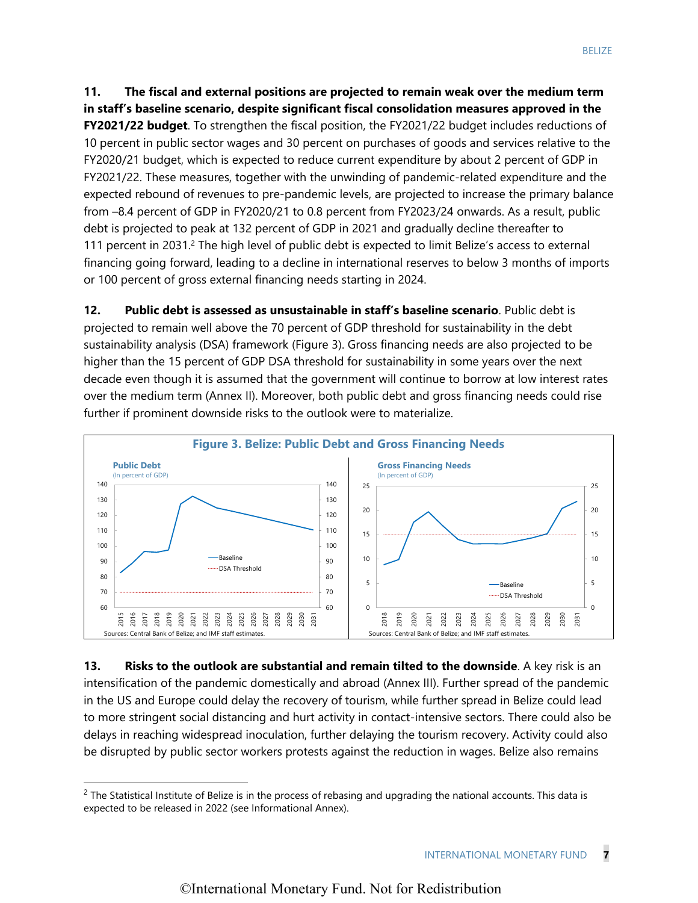**11. The fiscal and external positions are projected to remain weak over the medium term in staff's baseline scenario, despite significant fiscal consolidation measures approved in the FY2021/22 budget**. To strengthen the fiscal position, the FY2021/22 budget includes reductions of 10 percent in public sector wages and 30 percent on purchases of goods and services relative to the FY2020/21 budget, which is expected to reduce current expenditure by about 2 percent of GDP in FY2021/22. These measures, together with the unwinding of pandemic-related expenditure and the expected rebound of revenues to pre-pandemic levels, are projected to increase the primary balance from –8.4 percent of GDP in FY2020/21 to 0.8 percent from FY2023/24 onwards. As a result, public debt is projected to peak at 132 percent of GDP in 2021 and gradually decline thereafter to 111 percent in 2031.<sup>2</sup> The high level of public debt is expected to limit Belize's access to external financing going forward, leading to a decline in international reserves to below 3 months of imports or 100 percent of gross external financing needs starting in 2024.

**12. Public debt is assessed as unsustainable in staff's baseline scenario**. Public debt is projected to remain well above the 70 percent of GDP threshold for sustainability in the debt sustainability analysis (DSA) framework (Figure 3). Gross financing needs are also projected to be higher than the 15 percent of GDP DSA threshold for sustainability in some years over the next decade even though it is assumed that the government will continue to borrow at low interest rates over the medium term (Annex II). Moreover, both public debt and gross financing needs could rise further if prominent downside risks to the outlook were to materialize.



**13. Risks to the outlook are substantial and remain tilted to the downside**. A key risk is an intensification of the pandemic domestically and abroad (Annex III). Further spread of the pandemic in the US and Europe could delay the recovery of tourism, while further spread in Belize could lead to more stringent social distancing and hurt activity in contact-intensive sectors. There could also be delays in reaching widespread inoculation, further delaying the tourism recovery. Activity could also be disrupted by public sector workers protests against the reduction in wages. Belize also remains

 $2$  The Statistical Institute of Belize is in the process of rebasing and upgrading the national accounts. This data is expected to be released in 2022 (see Informational Annex).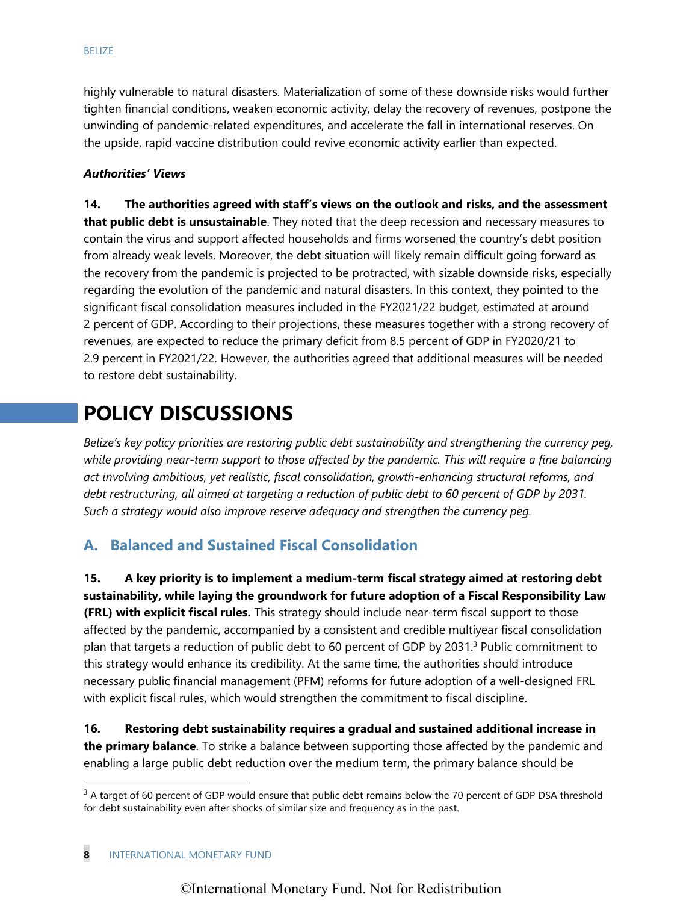highly vulnerable to natural disasters. Materialization of some of these downside risks would further tighten financial conditions, weaken economic activity, delay the recovery of revenues, postpone the unwinding of pandemic-related expenditures, and accelerate the fall in international reserves. On the upside, rapid vaccine distribution could revive economic activity earlier than expected.

#### *Authorities' Views*

**14. The authorities agreed with staff's views on the outlook and risks, and the assessment that public debt is unsustainable**. They noted that the deep recession and necessary measures to contain the virus and support affected households and firms worsened the country's debt position from already weak levels. Moreover, the debt situation will likely remain difficult going forward as the recovery from the pandemic is projected to be protracted, with sizable downside risks, especially regarding the evolution of the pandemic and natural disasters. In this context, they pointed to the significant fiscal consolidation measures included in the FY2021/22 budget, estimated at around 2 percent of GDP. According to their projections, these measures together with a strong recovery of revenues, are expected to reduce the primary deficit from 8.5 percent of GDP in FY2020/21 to 2.9 percent in FY2021/22. However, the authorities agreed that additional measures will be needed to restore debt sustainability.

# **POLICY DISCUSSIONS**

*Belize's key policy priorities are restoring public debt sustainability and strengthening the currency peg, while providing near-term support to those affected by the pandemic. This will require a fine balancing act involving ambitious, yet realistic, fiscal consolidation, growth-enhancing structural reforms, and debt restructuring, all aimed at targeting a reduction of public debt to 60 percent of GDP by 2031. Such a strategy would also improve reserve adequacy and strengthen the currency peg.* 

# **A. Balanced and Sustained Fiscal Consolidation**

**15. A key priority is to implement a medium-term fiscal strategy aimed at restoring debt sustainability, while laying the groundwork for future adoption of a Fiscal Responsibility Law (FRL) with explicit fiscal rules.** This strategy should include near-term fiscal support to those affected by the pandemic, accompanied by a consistent and credible multiyear fiscal consolidation plan that targets a reduction of public debt to 60 percent of GDP by 2031.<sup>3</sup> Public commitment to this strategy would enhance its credibility. At the same time, the authorities should introduce necessary public financial management (PFM) reforms for future adoption of a well-designed FRL with explicit fiscal rules, which would strengthen the commitment to fiscal discipline.

**16. Restoring debt sustainability requires a gradual and sustained additional increase in the primary balance**. To strike a balance between supporting those affected by the pandemic and enabling a large public debt reduction over the medium term, the primary balance should be

 $3$  A target of 60 percent of GDP would ensure that public debt remains below the 70 percent of GDP DSA threshold for debt sustainability even after shocks of similar size and frequency as in the past.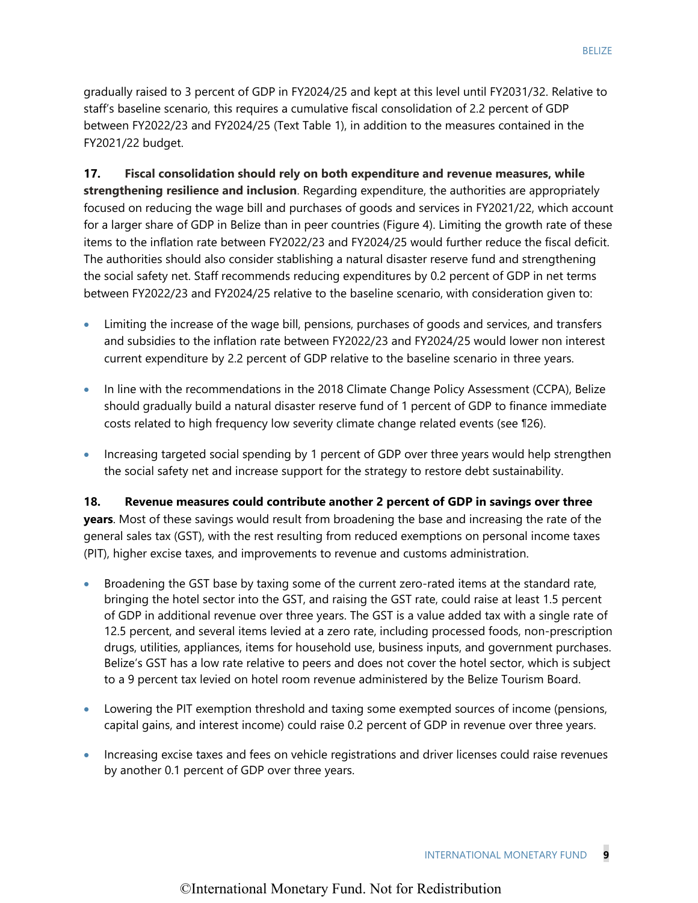gradually raised to 3 percent of GDP in FY2024/25 and kept at this level until FY2031/32. Relative to staff's baseline scenario, this requires a cumulative fiscal consolidation of 2.2 percent of GDP between FY2022/23 and FY2024/25 (Text Table 1), in addition to the measures contained in the FY2021/22 budget.

**17. Fiscal consolidation should rely on both expenditure and revenue measures, while strengthening resilience and inclusion**. Regarding expenditure, the authorities are appropriately focused on reducing the wage bill and purchases of goods and services in FY2021/22, which account for a larger share of GDP in Belize than in peer countries (Figure 4). Limiting the growth rate of these items to the inflation rate between FY2022/23 and FY2024/25 would further reduce the fiscal deficit. The authorities should also consider stablishing a natural disaster reserve fund and strengthening the social safety net. Staff recommends reducing expenditures by 0.2 percent of GDP in net terms between FY2022/23 and FY2024/25 relative to the baseline scenario, with consideration given to:

- Limiting the increase of the wage bill, pensions, purchases of goods and services, and transfers and subsidies to the inflation rate between FY2022/23 and FY2024/25 would lower non interest current expenditure by 2.2 percent of GDP relative to the baseline scenario in three years.
- In line with the recommendations in the 2018 Climate Change Policy Assessment (CCPA), Belize should gradually build a natural disaster reserve fund of 1 percent of GDP to finance immediate costs related to high frequency low severity climate change related events (see ¶26).
- Increasing targeted social spending by 1 percent of GDP over three years would help strengthen the social safety net and increase support for the strategy to restore debt sustainability.

**18. Revenue measures could contribute another 2 percent of GDP in savings over three years**. Most of these savings would result from broadening the base and increasing the rate of the general sales tax (GST), with the rest resulting from reduced exemptions on personal income taxes (PIT), higher excise taxes, and improvements to revenue and customs administration.

- Broadening the GST base by taxing some of the current zero-rated items at the standard rate, bringing the hotel sector into the GST, and raising the GST rate, could raise at least 1.5 percent of GDP in additional revenue over three years. The GST is a value added tax with a single rate of 12.5 percent, and several items levied at a zero rate, including processed foods, non-prescription drugs, utilities, appliances, items for household use, business inputs, and government purchases. Belize's GST has a low rate relative to peers and does not cover the hotel sector, which is subject to a 9 percent tax levied on hotel room revenue administered by the Belize Tourism Board.
- Lowering the PIT exemption threshold and taxing some exempted sources of income (pensions, capital gains, and interest income) could raise 0.2 percent of GDP in revenue over three years.
- Increasing excise taxes and fees on vehicle registrations and driver licenses could raise revenues by another 0.1 percent of GDP over three years.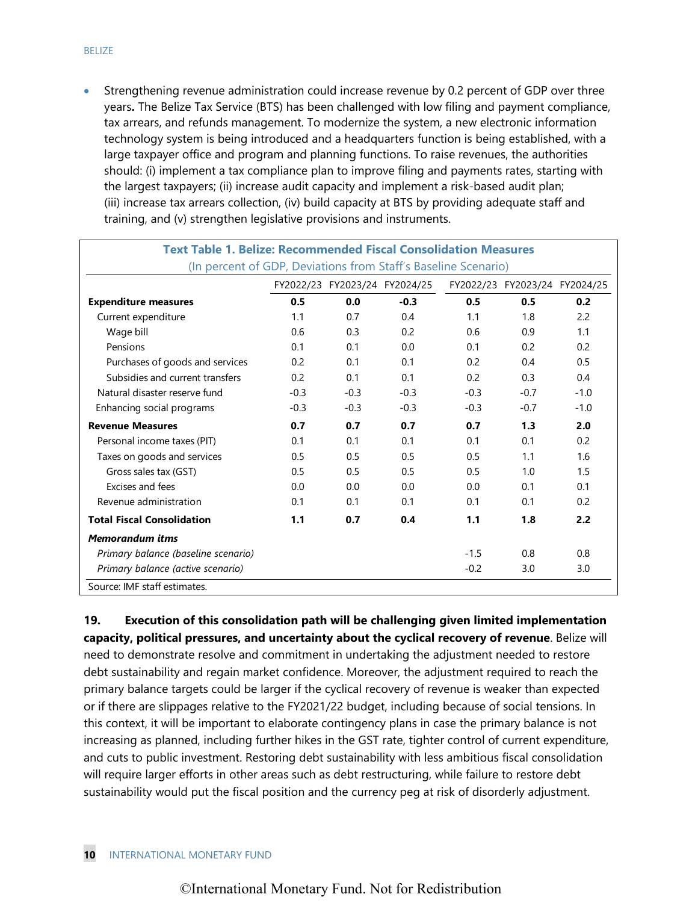Strengthening revenue administration could increase revenue by 0.2 percent of GDP over three years**.** The Belize Tax Service (BTS) has been challenged with low filing and payment compliance, tax arrears, and refunds management. To modernize the system, a new electronic information technology system is being introduced and a headquarters function is being established, with a large taxpayer office and program and planning functions. To raise revenues, the authorities should: (i) implement a tax compliance plan to improve filing and payments rates, starting with the largest taxpayers; (ii) increase audit capacity and implement a risk-based audit plan; (iii) increase tax arrears collection, (iv) build capacity at BTS by providing adequate staff and training, and (v) strengthen legislative provisions and instruments.

| <b>Text Table 1. Belize: Recommended Fiscal Consolidation Measures</b> |        |                               |        |        |                               |        |  |  |
|------------------------------------------------------------------------|--------|-------------------------------|--------|--------|-------------------------------|--------|--|--|
| (In percent of GDP, Deviations from Staff's Baseline Scenario)         |        |                               |        |        |                               |        |  |  |
|                                                                        |        | FY2022/23 FY2023/24 FY2024/25 |        |        | FY2022/23 FY2023/24 FY2024/25 |        |  |  |
| <b>Expenditure measures</b>                                            | 0.5    | 0.0                           | $-0.3$ | 0.5    | 0.5                           | 0.2    |  |  |
| Current expenditure                                                    | 1.1    | 0.7                           | 0.4    | 1.1    | 1.8                           | 2.2    |  |  |
| Wage bill                                                              | 0.6    | 0.3                           | 0.2    | 0.6    | 0.9                           | 1.1    |  |  |
| Pensions                                                               | 0.1    | 0.1                           | 0.0    | 0.1    | 0.2                           | 0.2    |  |  |
| Purchases of goods and services                                        | 0.2    | 0.1                           | 0.1    | 0.2    | 0.4                           | 0.5    |  |  |
| Subsidies and current transfers                                        | 0.2    | 0.1                           | 0.1    | 0.2    | 0.3                           | 0.4    |  |  |
| Natural disaster reserve fund                                          | $-0.3$ | $-0.3$                        | $-0.3$ | $-0.3$ | $-0.7$                        | $-1.0$ |  |  |
| Enhancing social programs                                              | $-0.3$ | $-0.3$                        | $-0.3$ | $-0.3$ | $-0.7$                        | $-1.0$ |  |  |
| <b>Revenue Measures</b>                                                | 0.7    | 0.7                           | 0.7    | 0.7    | 1.3                           | 2.0    |  |  |
| Personal income taxes (PIT)                                            | 0.1    | 0.1                           | 0.1    | 0.1    | 0.1                           | 0.2    |  |  |
| Taxes on goods and services                                            | 0.5    | 0.5                           | 0.5    | 0.5    | 1.1                           | 1.6    |  |  |
| Gross sales tax (GST)                                                  | 0.5    | 0.5                           | 0.5    | 0.5    | 1.0                           | 1.5    |  |  |
| Excises and fees                                                       | 0.0    | 0.0                           | 0.0    | 0.0    | 0.1                           | 0.1    |  |  |
| Revenue administration                                                 | 0.1    | 0.1                           | 0.1    | 0.1    | 0.1                           | 0.2    |  |  |
| <b>Total Fiscal Consolidation</b>                                      | 1.1    | 0.7                           | 0.4    | 1.1    | 1.8                           | 2.2    |  |  |
| <b>Memorandum itms</b>                                                 |        |                               |        |        |                               |        |  |  |
| Primary balance (baseline scenario)                                    |        |                               |        | $-1.5$ | 0.8                           | 0.8    |  |  |
| Primary balance (active scenario)                                      |        |                               |        | $-0.2$ | 3.0                           | 3.0    |  |  |

Source: IMF staff estimates.

**19. Execution of this consolidation path will be challenging given limited implementation capacity, political pressures, and uncertainty about the cyclical recovery of revenue**. Belize will need to demonstrate resolve and commitment in undertaking the adjustment needed to restore debt sustainability and regain market confidence. Moreover, the adjustment required to reach the primary balance targets could be larger if the cyclical recovery of revenue is weaker than expected or if there are slippages relative to the FY2021/22 budget, including because of social tensions. In this context, it will be important to elaborate contingency plans in case the primary balance is not increasing as planned, including further hikes in the GST rate, tighter control of current expenditure, and cuts to public investment. Restoring debt sustainability with less ambitious fiscal consolidation will require larger efforts in other areas such as debt restructuring, while failure to restore debt sustainability would put the fiscal position and the currency peg at risk of disorderly adjustment.

 $\overline{a}$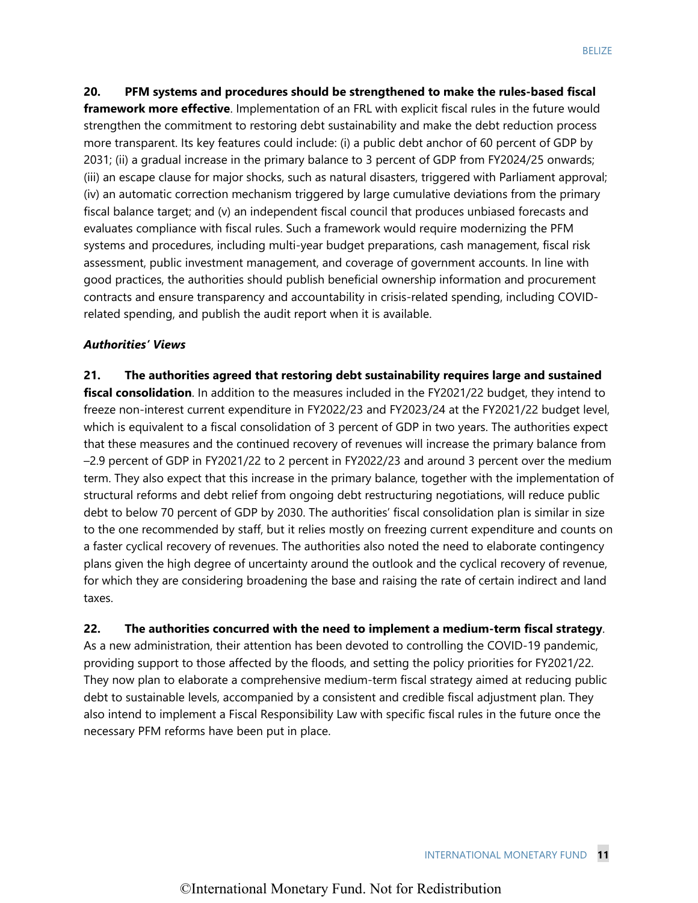**20. PFM systems and procedures should be strengthened to make the rules-based fiscal framework more effective**. Implementation of an FRL with explicit fiscal rules in the future would strengthen the commitment to restoring debt sustainability and make the debt reduction process more transparent. Its key features could include: (i) a public debt anchor of 60 percent of GDP by 2031; (ii) a gradual increase in the primary balance to 3 percent of GDP from FY2024/25 onwards; (iii) an escape clause for major shocks, such as natural disasters, triggered with Parliament approval; (iv) an automatic correction mechanism triggered by large cumulative deviations from the primary fiscal balance target; and (v) an independent fiscal council that produces unbiased forecasts and evaluates compliance with fiscal rules. Such a framework would require modernizing the PFM systems and procedures, including multi-year budget preparations, cash management, fiscal risk assessment, public investment management, and coverage of government accounts. In line with good practices, the authorities should publish beneficial ownership information and procurement contracts and ensure transparency and accountability in crisis-related spending, including COVIDrelated spending, and publish the audit report when it is available.

### *Authorities' Views*

**21. The authorities agreed that restoring debt sustainability requires large and sustained fiscal consolidation**. In addition to the measures included in the FY2021/22 budget, they intend to freeze non-interest current expenditure in FY2022/23 and FY2023/24 at the FY2021/22 budget level, which is equivalent to a fiscal consolidation of 3 percent of GDP in two years. The authorities expect that these measures and the continued recovery of revenues will increase the primary balance from –2.9 percent of GDP in FY2021/22 to 2 percent in FY2022/23 and around 3 percent over the medium term. They also expect that this increase in the primary balance, together with the implementation of structural reforms and debt relief from ongoing debt restructuring negotiations, will reduce public debt to below 70 percent of GDP by 2030. The authorities' fiscal consolidation plan is similar in size to the one recommended by staff, but it relies mostly on freezing current expenditure and counts on a faster cyclical recovery of revenues. The authorities also noted the need to elaborate contingency plans given the high degree of uncertainty around the outlook and the cyclical recovery of revenue, for which they are considering broadening the base and raising the rate of certain indirect and land taxes.

#### **22. The authorities concurred with the need to implement a medium-term fiscal strategy**.

As a new administration, their attention has been devoted to controlling the COVID-19 pandemic, providing support to those affected by the floods, and setting the policy priorities for FY2021/22. They now plan to elaborate a comprehensive medium-term fiscal strategy aimed at reducing public debt to sustainable levels, accompanied by a consistent and credible fiscal adjustment plan. They also intend to implement a Fiscal Responsibility Law with specific fiscal rules in the future once the necessary PFM reforms have been put in place.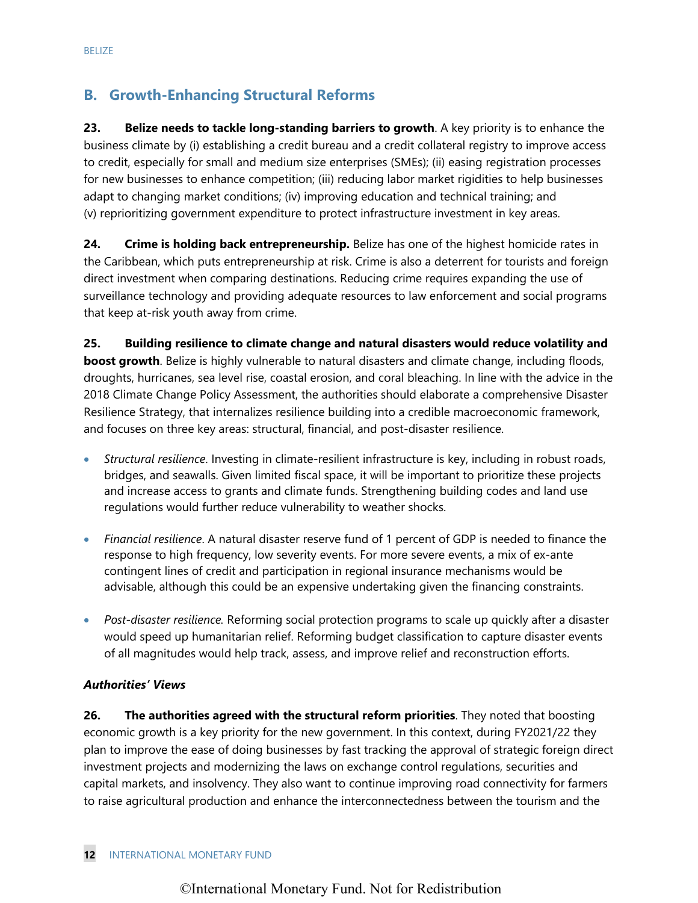# **B. Growth-Enhancing Structural Reforms**

**23. Belize needs to tackle long-standing barriers to growth**. A key priority is to enhance the business climate by (i) establishing a credit bureau and a credit collateral registry to improve access to credit, especially for small and medium size enterprises (SMEs); (ii) easing registration processes for new businesses to enhance competition; (iii) reducing labor market rigidities to help businesses adapt to changing market conditions; (iv) improving education and technical training; and (v) reprioritizing government expenditure to protect infrastructure investment in key areas.

**24. Crime is holding back entrepreneurship.** Belize has one of the highest homicide rates in the Caribbean, which puts entrepreneurship at risk. Crime is also a deterrent for tourists and foreign direct investment when comparing destinations. Reducing crime requires expanding the use of surveillance technology and providing adequate resources to law enforcement and social programs that keep at-risk youth away from crime.

**25. Building resilience to climate change and natural disasters would reduce volatility and boost growth**. Belize is highly vulnerable to natural disasters and climate change, including floods, droughts, hurricanes, sea level rise, coastal erosion, and coral bleaching. In line with the advice in the 2018 Climate Change Policy Assessment, the authorities should elaborate a comprehensive Disaster Resilience Strategy, that internalizes resilience building into a credible macroeconomic framework, and focuses on three key areas: structural, financial, and post-disaster resilience.

- *Structural resilience*. Investing in climate-resilient infrastructure is key, including in robust roads, bridges, and seawalls. Given limited fiscal space, it will be important to prioritize these projects and increase access to grants and climate funds. Strengthening building codes and land use regulations would further reduce vulnerability to weather shocks.
- *Financial resilience*. A natural disaster reserve fund of 1 percent of GDP is needed to finance the response to high frequency, low severity events. For more severe events, a mix of ex-ante contingent lines of credit and participation in regional insurance mechanisms would be advisable, although this could be an expensive undertaking given the financing constraints.
- *Post-disaster resilience.* Reforming social protection programs to scale up quickly after a disaster would speed up humanitarian relief. Reforming budget classification to capture disaster events of all magnitudes would help track, assess, and improve relief and reconstruction efforts.

### *Authorities' Views*

**26. The authorities agreed with the structural reform priorities**. They noted that boosting economic growth is a key priority for the new government. In this context, during FY2021/22 they plan to improve the ease of doing businesses by fast tracking the approval of strategic foreign direct investment projects and modernizing the laws on exchange control regulations, securities and capital markets, and insolvency. They also want to continue improving road connectivity for farmers to raise agricultural production and enhance the interconnectedness between the tourism and the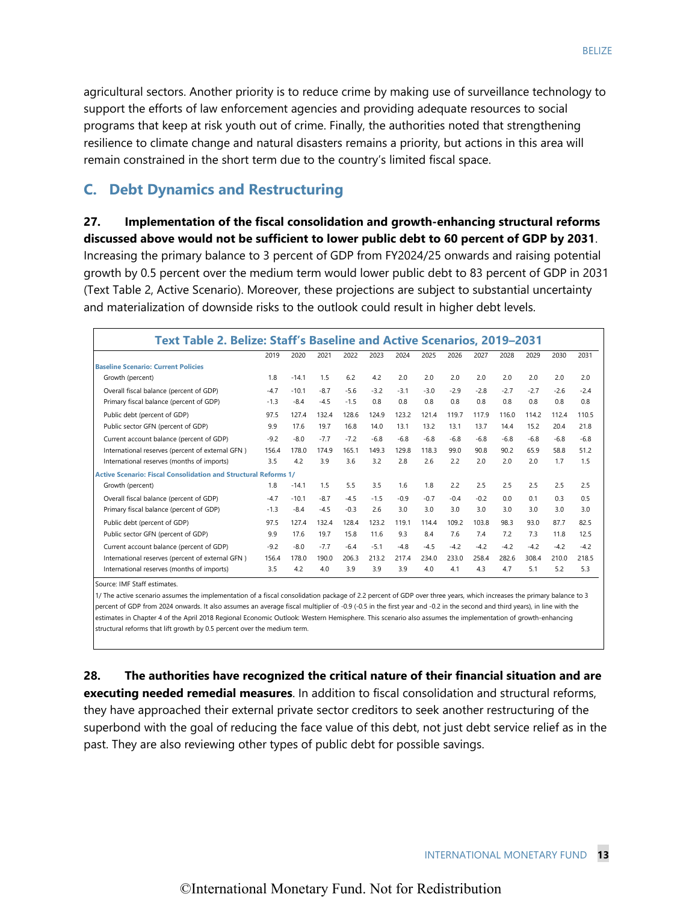agricultural sectors. Another priority is to reduce crime by making use of surveillance technology to support the efforts of law enforcement agencies and providing adequate resources to social programs that keep at risk youth out of crime. Finally, the authorities noted that strengthening resilience to climate change and natural disasters remains a priority, but actions in this area will remain constrained in the short term due to the country's limited fiscal space.

# **C. Debt Dynamics and Restructuring**

# **27. Implementation of the fiscal consolidation and growth-enhancing structural reforms**

**discussed above would not be sufficient to lower public debt to 60 percent of GDP by 2031**. Increasing the primary balance to 3 percent of GDP from FY2024/25 onwards and raising potential growth by 0.5 percent over the medium term would lower public debt to 83 percent of GDP in 2031 (Text Table 2, Active Scenario). Moreover, these projections are subject to substantial uncertainty and materialization of downside risks to the outlook could result in higher debt levels.

| Text Table 2. Belize: Staff's Baseline and Active Scenarios, 2019–2031 |        |         |        |        |        |        |        |        |        |        |        |        |        |
|------------------------------------------------------------------------|--------|---------|--------|--------|--------|--------|--------|--------|--------|--------|--------|--------|--------|
|                                                                        | 2019   | 2020    | 2021   | 2022   | 2023   | 2024   | 2025   | 2026   | 2027   | 2028   | 2029   | 2030   | 2031   |
| <b>Baseline Scenario: Current Policies</b>                             |        |         |        |        |        |        |        |        |        |        |        |        |        |
| Growth (percent)                                                       | 1.8    | $-14.1$ | 1.5    | 6.2    | 4.2    | 2.0    | 2.0    | 2.0    | 2.0    | 2.0    | 2.0    | 2.0    | 2.0    |
| Overall fiscal balance (percent of GDP)                                | $-4.7$ | $-10.1$ | $-8.7$ | $-5.6$ | $-3.2$ | $-3.1$ | $-3.0$ | $-2.9$ | $-2.8$ | $-2.7$ | $-2.7$ | $-2.6$ | $-2.4$ |
| Primary fiscal balance (percent of GDP)                                | $-1.3$ | $-8.4$  | $-4.5$ | $-1.5$ | 0.8    | 0.8    | 0.8    | 0.8    | 0.8    | 0.8    | 0.8    | 0.8    | 0.8    |
| Public debt (percent of GDP)                                           | 97.5   | 127.4   | 132.4  | 128.6  | 124.9  | 123.2  | 121.4  | 119.7  | 117.9  | 116.0  | 114.2  | 112.4  | 110.5  |
| Public sector GFN (percent of GDP)                                     | 9.9    | 17.6    | 19.7   | 16.8   | 14.0   | 13.1   | 13.2   | 13.1   | 13.7   | 14.4   | 15.2   | 20.4   | 21.8   |
| Current account balance (percent of GDP)                               | $-9.2$ | $-8.0$  | $-7.7$ | $-7.2$ | $-6.8$ | $-6.8$ | $-6.8$ | $-6.8$ | $-6.8$ | $-6.8$ | $-6.8$ | $-6.8$ | $-6.8$ |
| International reserves (percent of external GFN)                       | 156.4  | 178.0   | 174.9  | 165.1  | 149.3  | 129.8  | 118.3  | 99.0   | 90.8   | 90.2   | 65.9   | 58.8   | 51.2   |
| International reserves (months of imports)                             | 3.5    | 4.2     | 3.9    | 3.6    | 3.2    | 2.8    | 2.6    | 2.2    | 2.0    | 2.0    | 2.0    | 1.7    | 1.5    |
| <b>Active Scenario: Fiscal Consolidation and Structural Reforms 1/</b> |        |         |        |        |        |        |        |        |        |        |        |        |        |
| Growth (percent)                                                       | 1.8    | $-14.1$ | 1.5    | 5.5    | 3.5    | 1.6    | 1.8    | 2.2    | 2.5    | 2.5    | 2.5    | 2.5    | 2.5    |
| Overall fiscal balance (percent of GDP)                                | $-4.7$ | $-10.1$ | $-8.7$ | $-4.5$ | $-1.5$ | $-0.9$ | $-0.7$ | $-0.4$ | $-0.2$ | 0.0    | 0.1    | 0.3    | 0.5    |
| Primary fiscal balance (percent of GDP)                                | $-1.3$ | $-8.4$  | $-4.5$ | $-0.3$ | 2.6    | 3.0    | 3.0    | 3.0    | 3.0    | 3.0    | 3.0    | 3.0    | 3.0    |
| Public debt (percent of GDP)                                           | 97.5   | 127.4   | 132.4  | 128.4  | 123.2  | 119.1  | 114.4  | 109.2  | 103.8  | 98.3   | 93.0   | 87.7   | 82.5   |
| Public sector GFN (percent of GDP)                                     | 9.9    | 17.6    | 19.7   | 15.8   | 11.6   | 9.3    | 8.4    | 7.6    | 7.4    | 7.2    | 7.3    | 11.8   | 12.5   |
| Current account balance (percent of GDP)                               | $-9.2$ | $-8.0$  | $-7.7$ | $-6.4$ | $-5.1$ | $-4.8$ | $-4.5$ | $-4.2$ | $-4.2$ | $-4.2$ | $-4.2$ | $-4.2$ | $-4.2$ |
| International reserves (percent of external GFN)                       | 156.4  | 178.0   | 190.0  | 206.3  | 213.2  | 217.4  | 234.0  | 233.0  | 258.4  | 282.6  | 308.4  | 210.0  | 218.5  |
| International reserves (months of imports)                             | 3.5    | 4.2     | 4.0    | 3.9    | 3.9    | 3.9    | 4.0    | 4.1    | 4.3    | 4.7    | 5.1    | 5.2    | 5.3    |

Source: IMF Staff estimates.

1/ The active scenario assumes the implementation of a fiscal consolidation package of 2.2 percent of GDP over three years, which increases the primary balance to 3 percent of GDP from 2024 onwards. It also assumes an average fiscal multiplier of -0.9 (-0.5 in the first year and -0.2 in the second and third years), in line with the estimates in Chapter 4 of the April 2018 Regional Economic Outlook: Western Hemisphere. This scenario also assumes the implementation of growth-enhancing structural reforms that lift growth by 0.5 percent over the medium term.

**28. The authorities have recognized the critical nature of their financial situation and are executing needed remedial measures**. In addition to fiscal consolidation and structural reforms, they have approached their external private sector creditors to seek another restructuring of the superbond with the goal of reducing the face value of this debt, not just debt service relief as in the past. They are also reviewing other types of public debt for possible savings.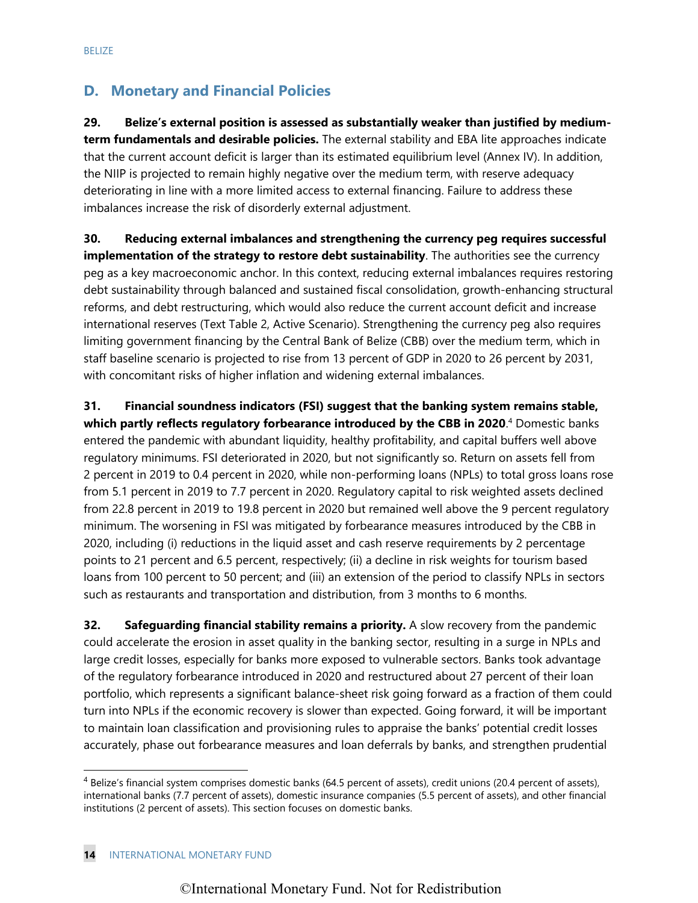# **D. Monetary and Financial Policies**

**29. Belize's external position is assessed as substantially weaker than justified by mediumterm fundamentals and desirable policies.** The external stability and EBA lite approaches indicate that the current account deficit is larger than its estimated equilibrium level (Annex IV). In addition, the NIIP is projected to remain highly negative over the medium term, with reserve adequacy deteriorating in line with a more limited access to external financing. Failure to address these imbalances increase the risk of disorderly external adjustment.

**30. Reducing external imbalances and strengthening the currency peg requires successful implementation of the strategy to restore debt sustainability**. The authorities see the currency peg as a key macroeconomic anchor. In this context, reducing external imbalances requires restoring debt sustainability through balanced and sustained fiscal consolidation, growth-enhancing structural reforms, and debt restructuring, which would also reduce the current account deficit and increase international reserves (Text Table 2, Active Scenario). Strengthening the currency peg also requires limiting government financing by the Central Bank of Belize (CBB) over the medium term, which in staff baseline scenario is projected to rise from 13 percent of GDP in 2020 to 26 percent by 2031, with concomitant risks of higher inflation and widening external imbalances.

**31. Financial soundness indicators (FSI) suggest that the banking system remains stable, which partly reflects regulatory forbearance introduced by the CBB in 2020**. 4 Domestic banks entered the pandemic with abundant liquidity, healthy profitability, and capital buffers well above regulatory minimums. FSI deteriorated in 2020, but not significantly so. Return on assets fell from 2 percent in 2019 to 0.4 percent in 2020, while non-performing loans (NPLs) to total gross loans rose from 5.1 percent in 2019 to 7.7 percent in 2020. Regulatory capital to risk weighted assets declined from 22.8 percent in 2019 to 19.8 percent in 2020 but remained well above the 9 percent regulatory minimum. The worsening in FSI was mitigated by forbearance measures introduced by the CBB in 2020, including (i) reductions in the liquid asset and cash reserve requirements by 2 percentage points to 21 percent and 6.5 percent, respectively; (ii) a decline in risk weights for tourism based loans from 100 percent to 50 percent; and (iii) an extension of the period to classify NPLs in sectors such as restaurants and transportation and distribution, from 3 months to 6 months.

**32. Safeguarding financial stability remains a priority.** A slow recovery from the pandemic could accelerate the erosion in asset quality in the banking sector, resulting in a surge in NPLs and large credit losses, especially for banks more exposed to vulnerable sectors. Banks took advantage of the regulatory forbearance introduced in 2020 and restructured about 27 percent of their loan portfolio, which represents a significant balance-sheet risk going forward as a fraction of them could turn into NPLs if the economic recovery is slower than expected. Going forward, it will be important to maintain loan classification and provisioning rules to appraise the banks' potential credit losses accurately, phase out forbearance measures and loan deferrals by banks, and strengthen prudential

<sup>4</sup> Belize's financial system comprises domestic banks (64.5 percent of assets), credit unions (20.4 percent of assets), international banks (7.7 percent of assets), domestic insurance companies (5.5 percent of assets), and other financial institutions (2 percent of assets). This section focuses on domestic banks.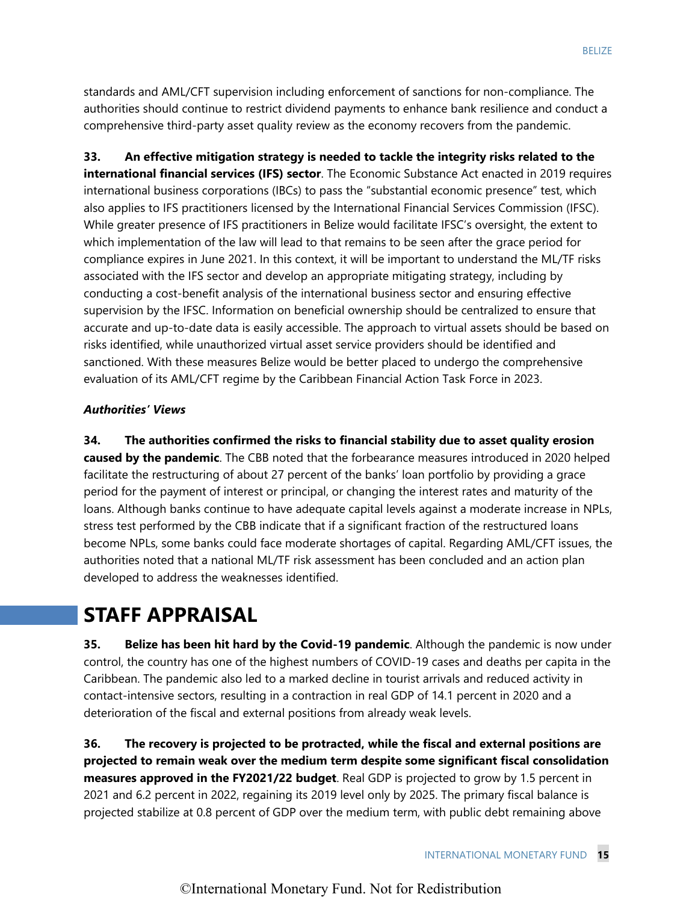standards and AML/CFT supervision including enforcement of sanctions for non-compliance. The authorities should continue to restrict dividend payments to enhance bank resilience and conduct a comprehensive third-party asset quality review as the economy recovers from the pandemic.

**33. An effective mitigation strategy is needed to tackle the integrity risks related to the international financial services (IFS) sector**. The Economic Substance Act enacted in 2019 requires international business corporations (IBCs) to pass the "substantial economic presence" test, which also applies to IFS practitioners licensed by the International Financial Services Commission (IFSC). While greater presence of IFS practitioners in Belize would facilitate IFSC's oversight, the extent to which implementation of the law will lead to that remains to be seen after the grace period for compliance expires in June 2021. In this context, it will be important to understand the ML/TF risks associated with the IFS sector and develop an appropriate mitigating strategy, including by conducting a cost-benefit analysis of the international business sector and ensuring effective supervision by the IFSC. Information on beneficial ownership should be centralized to ensure that accurate and up-to-date data is easily accessible. The approach to virtual assets should be based on risks identified, while unauthorized virtual asset service providers should be identified and sanctioned. With these measures Belize would be better placed to undergo the comprehensive evaluation of its AML/CFT regime by the Caribbean Financial Action Task Force in 2023.

#### *Authorities' Views*

**34. The authorities confirmed the risks to financial stability due to asset quality erosion caused by the pandemic**. The CBB noted that the forbearance measures introduced in 2020 helped facilitate the restructuring of about 27 percent of the banks' loan portfolio by providing a grace period for the payment of interest or principal, or changing the interest rates and maturity of the loans. Although banks continue to have adequate capital levels against a moderate increase in NPLs, stress test performed by the CBB indicate that if a significant fraction of the restructured loans become NPLs, some banks could face moderate shortages of capital. Regarding AML/CFT issues, the authorities noted that a national ML/TF risk assessment has been concluded and an action plan developed to address the weaknesses identified.

# **STAFF APPRAISAL**

**35. Belize has been hit hard by the Covid-19 pandemic**. Although the pandemic is now under control, the country has one of the highest numbers of COVID-19 cases and deaths per capita in the Caribbean. The pandemic also led to a marked decline in tourist arrivals and reduced activity in contact-intensive sectors, resulting in a contraction in real GDP of 14.1 percent in 2020 and a deterioration of the fiscal and external positions from already weak levels.

**36. The recovery is projected to be protracted, while the fiscal and external positions are projected to remain weak over the medium term despite some significant fiscal consolidation measures approved in the FY2021/22 budget**. Real GDP is projected to grow by 1.5 percent in 2021 and 6.2 percent in 2022, regaining its 2019 level only by 2025. The primary fiscal balance is projected stabilize at 0.8 percent of GDP over the medium term, with public debt remaining above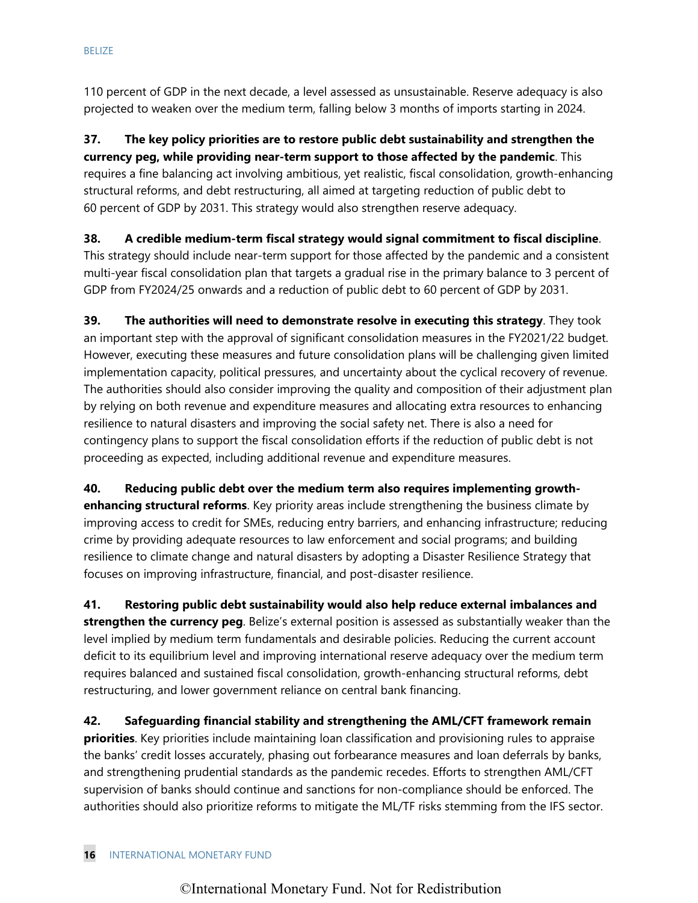110 percent of GDP in the next decade, a level assessed as unsustainable. Reserve adequacy is also projected to weaken over the medium term, falling below 3 months of imports starting in 2024.

**37. The key policy priorities are to restore public debt sustainability and strengthen the currency peg, while providing near-term support to those affected by the pandemic**. This requires a fine balancing act involving ambitious, yet realistic, fiscal consolidation, growth-enhancing structural reforms, and debt restructuring, all aimed at targeting reduction of public debt to 60 percent of GDP by 2031. This strategy would also strengthen reserve adequacy.

**38. A credible medium-term fiscal strategy would signal commitment to fiscal discipline**. This strategy should include near-term support for those affected by the pandemic and a consistent multi-year fiscal consolidation plan that targets a gradual rise in the primary balance to 3 percent of GDP from FY2024/25 onwards and a reduction of public debt to 60 percent of GDP by 2031.

**39. The authorities will need to demonstrate resolve in executing this strategy**. They took an important step with the approval of significant consolidation measures in the FY2021/22 budget. However, executing these measures and future consolidation plans will be challenging given limited implementation capacity, political pressures, and uncertainty about the cyclical recovery of revenue. The authorities should also consider improving the quality and composition of their adjustment plan by relying on both revenue and expenditure measures and allocating extra resources to enhancing resilience to natural disasters and improving the social safety net. There is also a need for contingency plans to support the fiscal consolidation efforts if the reduction of public debt is not proceeding as expected, including additional revenue and expenditure measures.

**40. Reducing public debt over the medium term also requires implementing growthenhancing structural reforms**. Key priority areas include strengthening the business climate by improving access to credit for SMEs, reducing entry barriers, and enhancing infrastructure; reducing crime by providing adequate resources to law enforcement and social programs; and building resilience to climate change and natural disasters by adopting a Disaster Resilience Strategy that focuses on improving infrastructure, financial, and post-disaster resilience.

**41. Restoring public debt sustainability would also help reduce external imbalances and strengthen the currency peg**. Belize's external position is assessed as substantially weaker than the level implied by medium term fundamentals and desirable policies. Reducing the current account deficit to its equilibrium level and improving international reserve adequacy over the medium term requires balanced and sustained fiscal consolidation, growth-enhancing structural reforms, debt restructuring, and lower government reliance on central bank financing.

**42. Safeguarding financial stability and strengthening the AML/CFT framework remain priorities**. Key priorities include maintaining loan classification and provisioning rules to appraise the banks' credit losses accurately, phasing out forbearance measures and loan deferrals by banks, and strengthening prudential standards as the pandemic recedes. Efforts to strengthen AML/CFT supervision of banks should continue and sanctions for non-compliance should be enforced. The authorities should also prioritize reforms to mitigate the ML/TF risks stemming from the IFS sector.

#### **16** INTERNATIONAL MONETARY FUND

# ©International Monetary Fund. Not for Redistribution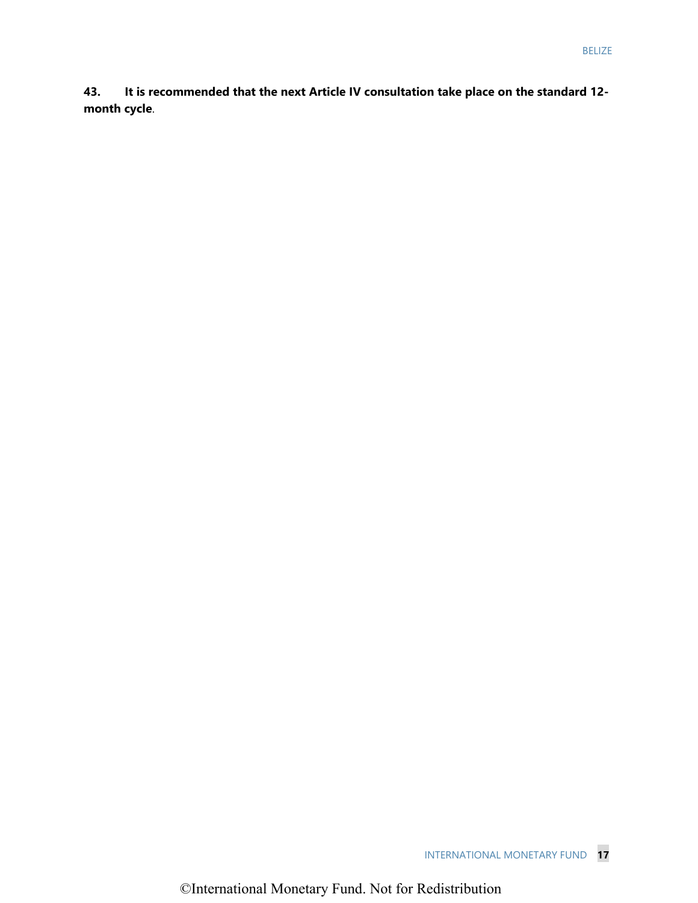**43. It is recommended that the next Article IV consultation take place on the standard 12 month cycle**.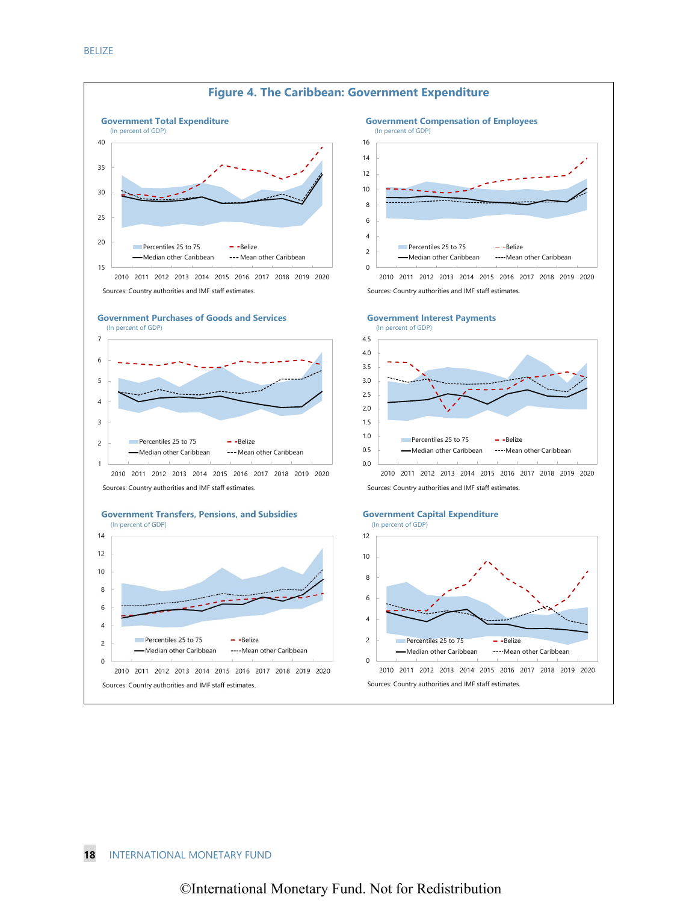

#### **18** INTERNATIONAL MONETARY FUND

### ©International Monetary Fund. Not for Redistribution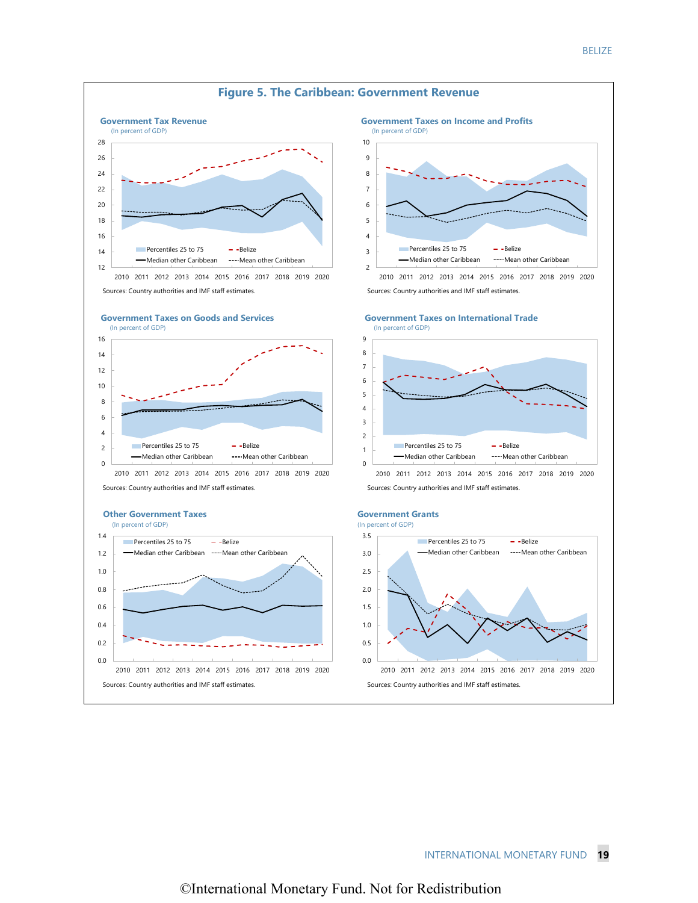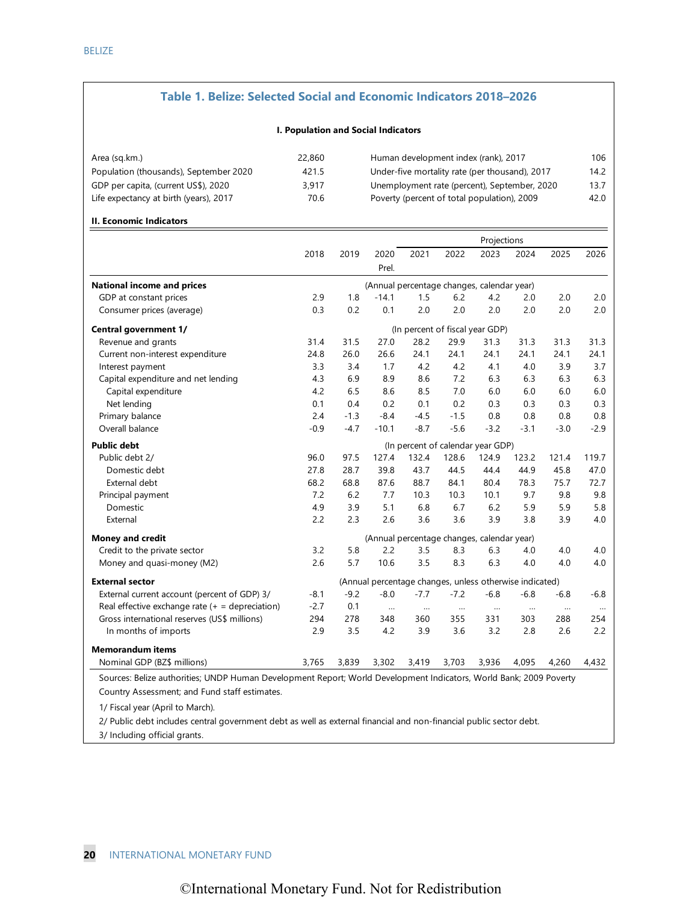#### **Table 1. Belize: Selected Social and Economic Indicators 2018–2026**

#### **I. Population and Social Indicators**

| 22,860 | Human development index (rank), 2017           | 106  |
|--------|------------------------------------------------|------|
| 421.5  | Under-five mortality rate (per thousand), 2017 | 14.2 |
| 3.917  | Unemployment rate (percent), September, 2020   | 13.7 |
| 70.6   | Poverty (percent of total population), 2009    | 42.0 |
|        |                                                |      |

#### **II. Economic Indicators**

|                                                                                                                    |                                   |        |                                                         |          |          | Projections |          |           |          |
|--------------------------------------------------------------------------------------------------------------------|-----------------------------------|--------|---------------------------------------------------------|----------|----------|-------------|----------|-----------|----------|
|                                                                                                                    | 2018                              | 2019   | 2020                                                    | 2021     | 2022     | 2023        | 2024     | 2025      | 2026     |
|                                                                                                                    |                                   |        | Prel.                                                   |          |          |             |          |           |          |
| <b>National income and prices</b>                                                                                  |                                   |        | (Annual percentage changes, calendar year)              |          |          |             |          |           |          |
| GDP at constant prices                                                                                             | 2.9                               | 1.8    | $-14.1$                                                 | 1.5      | 6.2      | 4.2         | 2.0      | 2.0       | 2.0      |
| Consumer prices (average)                                                                                          | 0.3                               | 0.2    | 0.1                                                     | 2.0      | 2.0      | 2.0         | 2.0      | 2.0       | 2.0      |
| Central government 1/                                                                                              | (In percent of fiscal year GDP)   |        |                                                         |          |          |             |          |           |          |
| Revenue and grants                                                                                                 | 31.4                              | 31.5   | 27.0                                                    | 28.2     | 29.9     | 31.3        | 31.3     | 31.3      | 31.3     |
| Current non-interest expenditure                                                                                   | 24.8                              | 26.0   | 26.6                                                    | 24.1     | 24.1     | 24.1        | 24.1     | 24.1      | 24.1     |
| Interest payment                                                                                                   | 3.3                               | 3.4    | 1.7                                                     | 4.2      | 4.2      | 4.1         | 4.0      | 3.9       | 3.7      |
| Capital expenditure and net lending                                                                                | 4.3                               | 6.9    | 8.9                                                     | 8.6      | 7.2      | 6.3         | 6.3      | 6.3       | 6.3      |
| Capital expenditure                                                                                                | 4.2                               | 6.5    | 8.6                                                     | 8.5      | 7.0      | 6.0         | 6.0      | 6.0       | $6.0$    |
| Net lending                                                                                                        | 0.1                               | 0.4    | 0.2                                                     | 0.1      | 0.2      | 0.3         | 0.3      | 0.3       | 0.3      |
| Primary balance                                                                                                    | 2.4                               | $-1.3$ | $-8.4$                                                  | $-4.5$   | $-1.5$   | 0.8         | 0.8      | 0.8       | 0.8      |
| Overall balance                                                                                                    | $-0.9$                            | $-4.7$ | $-10.1$                                                 | $-8.7$   | $-5.6$   | $-3.2$      | $-3.1$   | $-3.0$    | $-2.9$   |
| <b>Public debt</b>                                                                                                 | (In percent of calendar year GDP) |        |                                                         |          |          |             |          |           |          |
| Public debt 2/                                                                                                     | 96.0                              | 97.5   | 127.4                                                   | 132.4    | 128.6    | 124.9       | 123.2    | 121.4     | 119.7    |
| Domestic debt                                                                                                      | 27.8                              | 28.7   | 39.8                                                    | 43.7     | 44.5     | 44.4        | 44.9     | 45.8      | 47.0     |
| External debt                                                                                                      | 68.2                              | 68.8   | 87.6                                                    | 88.7     | 84.1     | 80.4        | 78.3     | 75.7      | 72.7     |
| Principal payment                                                                                                  | 7.2                               | 6.2    | 7.7                                                     | 10.3     | 10.3     | 10.1        | 9.7      | 9.8       | 9.8      |
| Domestic                                                                                                           | 4.9                               | 3.9    | 5.1                                                     | 6.8      | 6.7      | 6.2         | 5.9      | 5.9       | 5.8      |
| External                                                                                                           | 2.2                               | 2.3    | 2.6                                                     | 3.6      | 3.6      | 3.9         | 3.8      | 3.9       | 4.0      |
| <b>Money and credit</b>                                                                                            |                                   |        | (Annual percentage changes, calendar year)              |          |          |             |          |           |          |
| Credit to the private sector                                                                                       | 3.2                               | 5.8    | 2.2                                                     | 3.5      | 8.3      | 6.3         | 4.0      | 4.0       | 4.0      |
| Money and quasi-money (M2)                                                                                         | 2.6                               | 5.7    | 10.6                                                    | 3.5      | 8.3      | 6.3         | 4.0      | 4.0       | 4.0      |
| <b>External sector</b>                                                                                             |                                   |        | (Annual percentage changes, unless otherwise indicated) |          |          |             |          |           |          |
| External current account (percent of GDP) 3/                                                                       | $-8.1$                            | $-9.2$ | $-8.0$                                                  | $-7.7$   | $-7.2$   | $-6.8$      | $-6.8$   | $-6.8$    | $-6.8$   |
| Real effective exchange rate $(+)$ = depreciation)                                                                 | $-2.7$                            | 0.1    | $\cdots$                                                | $\ldots$ | $\ldots$ | $\cdots$    | $\cdots$ | $\ddotsc$ | $\ldots$ |
| Gross international reserves (US\$ millions)                                                                       | 294                               | 278    | 348                                                     | 360      | 355      | 331         | 303      | 288       | 254      |
| In months of imports                                                                                               | 2.9                               | 3.5    | 4.2                                                     | 3.9      | 3.6      | 3.2         | 2.8      | 2.6       | 2.2      |
| <b>Memorandum items</b>                                                                                            |                                   |        |                                                         |          |          |             |          |           |          |
| Nominal GDP (BZ\$ millions)                                                                                        | 3,765                             | 3,839  | 3,302                                                   | 3,419    | 3,703    | 3,936       | 4,095    | 4,260     | 4,432    |
| Sources: Belize authorities; UNDP Human Development Report; World Development Indicators, World Bank; 2009 Poverty |                                   |        |                                                         |          |          |             |          |           |          |
| Country Assessment; and Fund staff estimates.                                                                      |                                   |        |                                                         |          |          |             |          |           |          |
| 1/ Fiscal year (April to March).                                                                                   |                                   |        |                                                         |          |          |             |          |           |          |

2/ Public debt includes central government debt as well as external financial and non-financial public sector debt. 3/ Including official grants.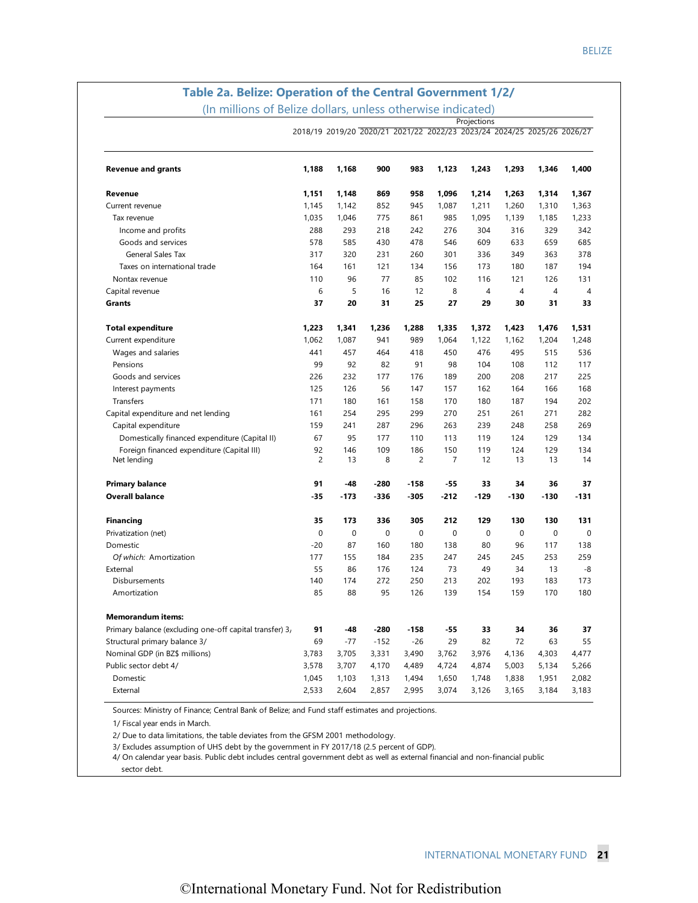# **Table 2a. Belize: Operation of the Central Government 1/2/**

(In millions of Belize dollars, unless otherwise indicated) **Projections** 

|                                                         |                | 2018/19 2019/20 2020/21 2021/22 2022/23 2023/24 2024/25 2025/26 2026/27 |             |                |        |                |        |                |                |
|---------------------------------------------------------|----------------|-------------------------------------------------------------------------|-------------|----------------|--------|----------------|--------|----------------|----------------|
| <b>Revenue and grants</b>                               | 1,188          | 1,168                                                                   | 900         | 983            | 1,123  | 1,243          | 1,293  | 1,346          | 1,400          |
| Revenue                                                 | 1,151          | 1,148                                                                   | 869         | 958            | 1,096  | 1,214          | 1,263  | 1,314          | 1,367          |
| Current revenue                                         | 1,145          | 1,142                                                                   | 852         | 945            | 1,087  | 1,211          | 1,260  | 1,310          | 1,363          |
| Tax revenue                                             | 1,035          | 1,046                                                                   | 775         | 861            | 985    | 1,095          | 1,139  | 1,185          | 1,233          |
| Income and profits                                      | 288            | 293                                                                     | 218         | 242            | 276    | 304            | 316    | 329            | 342            |
| Goods and services                                      | 578            | 585                                                                     | 430         | 478            | 546    | 609            | 633    | 659            | 685            |
| <b>General Sales Tax</b>                                | 317            | 320                                                                     | 231         | 260            | 301    | 336            | 349    | 363            | 378            |
| Taxes on international trade                            | 164            | 161                                                                     | 121         | 134            | 156    | 173            | 180    | 187            | 194            |
| Nontax revenue                                          | 110            | 96                                                                      | 77          | 85             | 102    | 116            | 121    | 126            | 131            |
| Capital revenue                                         | 6              | 5                                                                       | 16          | 12             | 8      | $\overline{4}$ | 4      | $\overline{4}$ | $\overline{4}$ |
| <b>Grants</b>                                           | 37             | 20                                                                      | 31          | 25             | 27     | 29             | 30     | 31             | 33             |
| <b>Total expenditure</b>                                | 1,223          | 1,341                                                                   | 1,236       | 1,288          | 1,335  | 1,372          | 1,423  | 1,476          | 1,531          |
| Current expenditure                                     | 1,062          | 1,087                                                                   | 941         | 989            | 1,064  | 1,122          | 1,162  | 1,204          | 1,248          |
| Wages and salaries                                      | 441            | 457                                                                     | 464         | 418            | 450    | 476            | 495    | 515            | 536            |
| Pensions                                                | 99             | 92                                                                      | 82          | 91             | 98     | 104            | 108    | 112            | 117            |
| Goods and services                                      | 226            | 232                                                                     | 177         | 176            | 189    | 200            | 208    | 217            | 225            |
| Interest payments                                       | 125            | 126                                                                     | 56          | 147            | 157    | 162            | 164    | 166            | 168            |
| Transfers                                               | 171            | 180                                                                     | 161         | 158            | 170    | 180            | 187    | 194            | 202            |
| Capital expenditure and net lending                     | 161            | 254                                                                     | 295         | 299            | 270    | 251            | 261    | 271            | 282            |
| Capital expenditure                                     | 159            | 241                                                                     | 287         | 296            | 263    | 239            | 248    | 258            | 269            |
| Domestically financed expenditure (Capital II)          | 67             | 95                                                                      | 177         | 110            | 113    | 119            | 124    | 129            | 134            |
| Foreign financed expenditure (Capital III)              | 92             | 146                                                                     | 109         | 186            | 150    | 119            | 124    | 129            | 134            |
| Net lending                                             | $\overline{c}$ | 13                                                                      | 8           | $\overline{c}$ | 7      | 12             | 13     | 13             | 14             |
| <b>Primary balance</b>                                  | 91             | $-48$                                                                   | $-280$      | $-158$         | $-55$  | 33             | 34     | 36             | 37             |
| <b>Overall balance</b>                                  | $-35$          | $-173$                                                                  | -336        | -305           | $-212$ | $-129$         | $-130$ | $-130$         | $-131$         |
| <b>Financing</b>                                        | 35             | 173                                                                     | 336         | 305            | 212    | 129            | 130    | 130            | 131            |
| Privatization (net)                                     | $\mathbf 0$    | $\mathbf{0}$                                                            | $\mathbf 0$ | 0              | 0      | 0              | 0      | $\mathbf 0$    | 0              |
| Domestic                                                | $-20$          | 87                                                                      | 160         | 180            | 138    | 80             | 96     | 117            | 138            |
| Of which: Amortization                                  | 177            | 155                                                                     | 184         | 235            | 247    | 245            | 245    | 253            | 259            |
| External                                                | 55             | 86                                                                      | 176         | 124            | 73     | 49             | 34     | 13             | -8             |
| Disbursements                                           | 140            | 174                                                                     | 272         | 250            | 213    | 202            | 193    | 183            | 173            |
| Amortization                                            | 85             | 88                                                                      | 95          | 126            | 139    | 154            | 159    | 170            | 180            |
| <b>Memorandum items:</b>                                |                |                                                                         |             |                |        |                |        |                |                |
| Primary balance (excluding one-off capital transfer) 3, | 91             | $-48$                                                                   | -280        | $-158$         | $-55$  | 33             | 34     | 36             | 37             |
| Structural primary balance 3/                           | 69             | $-77$                                                                   | $-152$      | $-26$          | 29     | 82             | 72     | 63             | 55             |
| Nominal GDP (in BZ\$ millions)                          | 3,783          | 3,705                                                                   | 3,331       | 3,490          | 3,762  | 3,976          | 4,136  | 4,303          | 4,477          |
| Public sector debt 4/                                   | 3,578          | 3,707                                                                   | 4,170       | 4,489          | 4,724  | 4,874          | 5,003  | 5,134          | 5,266          |
| Domestic                                                | 1,045          | 1,103                                                                   | 1,313       | 1,494          | 1,650  | 1,748          | 1,838  | 1,951          | 2,082          |
| External                                                | 2,533          | 2,604                                                                   | 2,857       | 2,995          | 3,074  | 3,126          | 3,165  | 3,184          | 3,183          |

Sources: Ministry of Finance; Central Bank of Belize; and Fund staff estimates and projections.

1/ Fiscal year ends in March.

2/ Due to data limitations, the table deviates from the GFSM 2001 methodology.

3/ Excludes assumption of UHS debt by the government in FY 2017/18 (2.5 percent of GDP).

4/ On calendar year basis. Public debt includes central government debt as well as external financial and non-financial public

sector debt.

 $\overline{a}$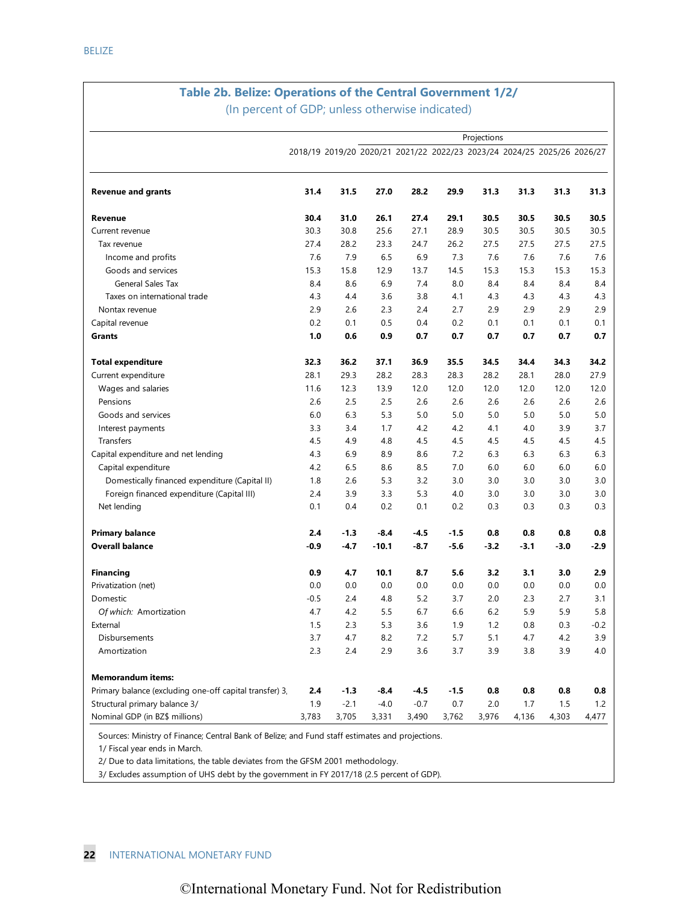# **Table 2b. Belize: Operations of the Central Government 1/2/**

(In percent of GDP; unless otherwise indicated)

|                                                         |                                                                         |        |         |        |        | Projections |        |        |        |
|---------------------------------------------------------|-------------------------------------------------------------------------|--------|---------|--------|--------|-------------|--------|--------|--------|
|                                                         | 2018/19 2019/20 2020/21 2021/22 2022/23 2023/24 2024/25 2025/26 2026/27 |        |         |        |        |             |        |        |        |
|                                                         |                                                                         |        |         |        |        |             |        |        |        |
| <b>Revenue and grants</b>                               | 31.4                                                                    | 31.5   | 27.0    | 28.2   | 29.9   | 31.3        | 31.3   | 31.3   | 31.3   |
| Revenue                                                 | 30.4                                                                    | 31.0   | 26.1    | 27.4   | 29.1   | 30.5        | 30.5   | 30.5   | 30.5   |
| Current revenue                                         | 30.3                                                                    | 30.8   | 25.6    | 27.1   | 28.9   | 30.5        | 30.5   | 30.5   | 30.5   |
| Tax revenue                                             | 27.4                                                                    | 28.2   | 23.3    | 24.7   | 26.2   | 27.5        | 27.5   | 27.5   | 27.5   |
| Income and profits                                      | 7.6                                                                     | 7.9    | 6.5     | 6.9    | 7.3    | 7.6         | 7.6    | 7.6    | 7.6    |
| Goods and services                                      | 15.3                                                                    | 15.8   | 12.9    | 13.7   | 14.5   | 15.3        | 15.3   | 15.3   | 15.3   |
| General Sales Tax                                       | 8.4                                                                     | 8.6    | 6.9     | 7.4    | 8.0    | 8.4         | 8.4    | 8.4    | 8.4    |
| Taxes on international trade                            | 4.3                                                                     | 4.4    | 3.6     | 3.8    | 4.1    | 4.3         | 4.3    | 4.3    | 4.3    |
| Nontax revenue                                          | 2.9                                                                     | 2.6    | 2.3     | 2.4    | 2.7    | 2.9         | 2.9    | 2.9    | 2.9    |
| Capital revenue                                         | 0.2                                                                     | 0.1    | 0.5     | 0.4    | 0.2    | 0.1         | 0.1    | 0.1    | 0.1    |
| Grants                                                  | 1.0                                                                     | 0.6    | 0.9     | 0.7    | 0.7    | 0.7         | 0.7    | 0.7    | 0.7    |
| <b>Total expenditure</b>                                | 32.3                                                                    | 36.2   | 37.1    | 36.9   | 35.5   | 34.5        | 34.4   | 34.3   | 34.2   |
| Current expenditure                                     | 28.1                                                                    | 29.3   | 28.2    | 28.3   | 28.3   | 28.2        | 28.1   | 28.0   | 27.9   |
| Wages and salaries                                      | 11.6                                                                    | 12.3   | 13.9    | 12.0   | 12.0   | 12.0        | 12.0   | 12.0   | 12.0   |
| Pensions                                                | 2.6                                                                     | 2.5    | 2.5     | 2.6    | 2.6    | 2.6         | 2.6    | 2.6    | 2.6    |
| Goods and services                                      | 6.0                                                                     | 6.3    | 5.3     | 5.0    | 5.0    | 5.0         | 5.0    | 5.0    | 5.0    |
|                                                         | 3.3                                                                     | 3.4    |         | 4.2    |        | 4.1         |        | 3.9    |        |
| Interest payments                                       |                                                                         |        | 1.7     |        | 4.2    |             | 4.0    |        | 3.7    |
| Transfers                                               | 4.5                                                                     | 4.9    | 4.8     | 4.5    | 4.5    | 4.5         | 4.5    | 4.5    | 4.5    |
| Capital expenditure and net lending                     | 4.3                                                                     | 6.9    | 8.9     | 8.6    | 7.2    | 6.3         | 6.3    | 6.3    | 6.3    |
| Capital expenditure                                     | 4.2                                                                     | 6.5    | 8.6     | 8.5    | 7.0    | 6.0         | 6.0    | 6.0    | 6.0    |
| Domestically financed expenditure (Capital II)          | 1.8                                                                     | 2.6    | 5.3     | 3.2    | 3.0    | 3.0         | 3.0    | 3.0    | 3.0    |
| Foreign financed expenditure (Capital III)              | 2.4                                                                     | 3.9    | 3.3     | 5.3    | 4.0    | 3.0         | 3.0    | 3.0    | 3.0    |
| Net lending                                             | 0.1                                                                     | 0.4    | 0.2     | 0.1    | 0.2    | 0.3         | 0.3    | 0.3    | 0.3    |
| <b>Primary balance</b>                                  | 2.4                                                                     | $-1.3$ | $-8.4$  | -4.5   | $-1.5$ | 0.8         | 0.8    | 0.8    | 0.8    |
| <b>Overall balance</b>                                  | -0.9                                                                    | $-4.7$ | $-10.1$ | $-8.7$ | $-5.6$ | $-3.2$      | $-3.1$ | $-3.0$ | $-2.9$ |
| <b>Financing</b>                                        | 0.9                                                                     | 4.7    | 10.1    | 8.7    | 5.6    | 3.2         | 3.1    | 3.0    | 2.9    |
| Privatization (net)                                     | 0.0                                                                     | 0.0    | 0.0     | 0.0    | 0.0    | 0.0         | 0.0    | 0.0    | 0.0    |
| Domestic                                                | $-0.5$                                                                  | 2.4    | 4.8     | 5.2    | 3.7    | 2.0         | 2.3    | 2.7    | 3.1    |
| Of which: Amortization                                  | 4.7                                                                     | 4.2    | 5.5     | 6.7    | 6.6    | 6.2         | 5.9    | 5.9    | 5.8    |
| External                                                | 1.5                                                                     | 2.3    | 5.3     | 3.6    | 1.9    | 1.2         | 0.8    | 0.3    | $-0.2$ |
| Disbursements                                           | 3.7                                                                     | 4.7    | 8.2     | 7.2    | 5.7    | 5.1         | 4.7    | 4.2    | 3.9    |
| Amortization                                            | 2.3                                                                     | 2.4    | 2.9     | 3.6    | 3.7    | 3.9         | 3.8    | 3.9    | 4.0    |
| <b>Memorandum items:</b>                                |                                                                         |        |         |        |        |             |        |        |        |
| Primary balance (excluding one-off capital transfer) 3, | 2.4                                                                     | $-1.3$ | $-8.4$  | $-4.5$ | $-1.5$ | 0.8         | 0.8    | 0.8    | 0.8    |
| Structural primary balance 3/                           | 1.9                                                                     | $-2.1$ | $-4.0$  | $-0.7$ | 0.7    | 2.0         | 1.7    | 1.5    | 1.2    |
| Nominal GDP (in BZ\$ millions)                          | 3,783                                                                   | 3,705  | 3,331   | 3,490  | 3,762  | 3,976       | 4,136  | 4,303  | 4,477  |
|                                                         |                                                                         |        |         |        |        |             |        |        |        |

Sources: Ministry of Finance; Central Bank of Belize; and Fund staff estimates and projections.

1/ Fiscal year ends in March.

2/ Due to data limitations, the table deviates from the GFSM 2001 methodology.

3/ Excludes assumption of UHS debt by the government in FY 2017/18 (2.5 percent of GDP).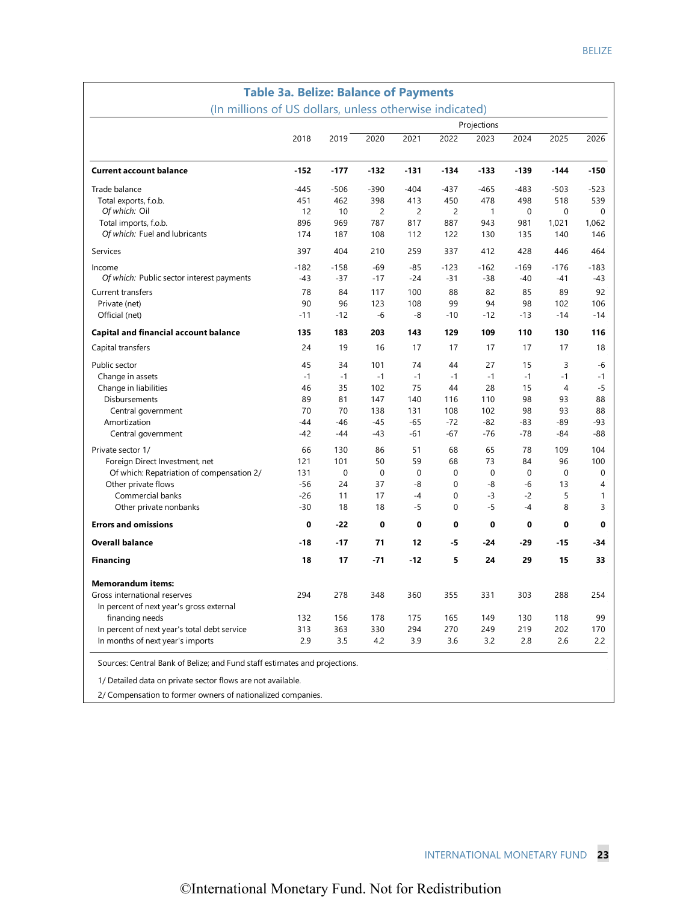| (In millions of US dollars, unless otherwise indicated) |        |        |                  |             |             |              |             |                |             |
|---------------------------------------------------------|--------|--------|------------------|-------------|-------------|--------------|-------------|----------------|-------------|
|                                                         |        |        |                  |             |             | Projections  |             |                |             |
|                                                         | 2018   | 2019   | 2020             | 2021        | 2022        | 2023         | 2024        | 2025           | 2026        |
| <b>Current account balance</b>                          | $-152$ | $-177$ | $-132$           | $-131$      | $-134$      | $-133$       | $-139$      | $-144$         | $-150$      |
| Trade balance                                           | $-445$ | $-506$ | $-390$           | $-404$      | $-437$      | $-465$       | $-483$      | $-503$         | $-523$      |
| Total exports, f.o.b.                                   | 451    | 462    | 398              | 413         | 450         | 478          | 498         | 518            | 539         |
| Of which: Oil                                           | 12     | 10     | 2                | 2           | 2           | $\mathbf{1}$ | 0           | $\mathbf 0$    | 0           |
| Total imports, f.o.b.                                   | 896    | 969    | 787              | 817         | 887         | 943          | 981         | 1,021          | 1,062       |
| Of which: Fuel and lubricants                           | 174    | 187    | 108              | 112         | 122         | 130          | 135         | 140            | 146         |
| Services                                                | 397    | 404    | 210              | 259         | 337         | 412          | 428         | 446            | 464         |
| Income                                                  | $-182$ | $-158$ | -69              | $-85$       | $-123$      | $-162$       | $-169$      | $-176$         | $-183$      |
| Of which: Public sector interest payments               | $-43$  | $-37$  | $-17$            | $-24$       | $-31$       | $-38$        | $-40$       | $-41$          | -43         |
| Current transfers                                       | 78     | 84     | 117              | 100         | 88          | 82           | 85          | 89             | 92          |
| Private (net)                                           | 90     | 96     | 123              | 108         | 99          | 94           | 98          | 102            | 106         |
| Official (net)                                          | $-11$  | $-12$  | -6               | -8          | $-10$       | $-12$        | $-13$       | $-14$          | $-14$       |
| Capital and financial account balance                   | 135    | 183    | 203              | 143         | 129         | 109          | 110         | 130            | 116         |
| Capital transfers                                       | 24     | 19     | 16               | 17          | 17          | 17           | 17          | 17             | 18          |
| Public sector                                           | 45     | 34     | 101              | 74          | 44          | 27           | 15          | 3              | -6          |
| Change in assets                                        | $-1$   | $-1$   | $-1$             | $-1$        | $-1$        | $-1$         | $-1$        | $-1$           | $-1$        |
| Change in liabilities                                   | 46     | 35     | 102              | 75          | 44          | 28           | 15          | $\overline{4}$ | $-5$        |
| <b>Disbursements</b>                                    | 89     | 81     | 147              | 140         | 116         | 110          | 98          | 93             | 88          |
| Central government                                      | 70     | 70     | 138              | 131         | 108         | 102          | 98          | 93             | 88          |
| Amortization                                            | $-44$  | $-46$  | $-45$            | $-65$       | $-72$       | $-82$        | -83         | $-89$          | -93         |
| Central government                                      | $-42$  | $-44$  | $-43$            | $-61$       | $-67$       | $-76$        | $-78$       | $-84$          | $-88$       |
| Private sector 1/                                       | 66     | 130    | 86               | 51          | 68          | 65           | 78          | 109            | 104         |
| Foreign Direct Investment, net                          | 121    | 101    | 50               | 59          | 68          | 73           | 84          | 96             | 100         |
| Of which: Repatriation of compensation 2/               | 131    | 0      | $\boldsymbol{0}$ | $\mathbf 0$ | 0           | $\mathbf 0$  | $\mathbf 0$ | $\mathbf 0$    | $\mathbf 0$ |
| Other private flows                                     | $-56$  | 24     | 37               | -8          | $\mathbf 0$ | -8           | $-6$        | 13             | 4           |
| Commercial banks                                        | $-26$  | 11     | 17               | $-4$        | 0           | $-3$         | $-2$        | 5              | 1           |
| Other private nonbanks                                  | $-30$  | 18     | 18               | $-5$        | 0           | $-5$         | $-4$        | 8              | 3           |
| <b>Errors and omissions</b>                             | 0      | $-22$  | 0                | 0           | 0           | 0            | 0           | 0              | 0           |
| <b>Overall balance</b>                                  | $-18$  | $-17$  | 71               | 12          | -5          | $-24$        | -29         | $-15$          | -34         |
| <b>Financing</b>                                        | 18     | 17     | $-71$            | $-12$       | 5           | 24           | 29          | 15             | 33          |
| <b>Memorandum items:</b>                                |        |        |                  |             |             |              |             |                |             |
| Gross international reserves                            | 294    | 278    | 348              | 360         | 355         | 331          | 303         | 288            | 254         |
| In percent of next year's gross external                |        |        |                  |             |             |              |             |                |             |
| financing needs                                         | 132    | 156    | 178              | 175         | 165         | 149          | 130         | 118            | 99          |
| In percent of next year's total debt service            | 313    | 363    | 330              | 294         | 270         | 249          | 219         | 202            | 170         |
| In months of next year's imports                        | 2.9    | 3.5    | 4.2              | 3.9         | 3.6         | 3.2          | 2.8         | 2.6            | 2.2         |

1/ Detailed data on private sector flows are not available.

2/ Compensation to former owners of nationalized companies.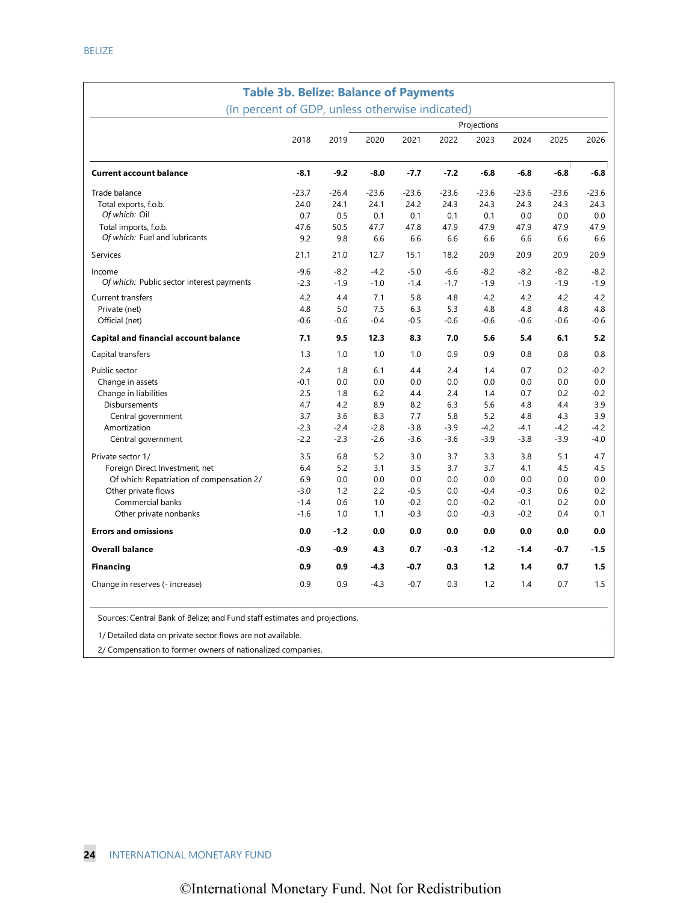| <b>Table 3b. Belize: Balance of Payments</b>    |         |         |         |         |         |             |         |         |         |
|-------------------------------------------------|---------|---------|---------|---------|---------|-------------|---------|---------|---------|
| (In percent of GDP, unless otherwise indicated) |         |         |         |         |         |             |         |         |         |
|                                                 |         |         |         |         |         | Projections |         |         |         |
|                                                 | 2018    | 2019    | 2020    | 2021    | 2022    | 2023        | 2024    | 2025    | 2026    |
|                                                 |         |         |         |         |         |             |         |         |         |
| <b>Current account balance</b>                  | $-8.1$  | $-9.2$  | $-8.0$  | $-7.7$  | $-7.2$  | $-6.8$      | $-6.8$  | $-6.8$  | $-6.8$  |
| Trade balance                                   | $-23.7$ | $-26.4$ | $-23.6$ | $-23.6$ | $-23.6$ | $-23.6$     | $-23.6$ | $-23.6$ | $-23.6$ |
| Total exports, f.o.b.                           | 24.0    | 24.1    | 24.1    | 24.2    | 24.3    | 24.3        | 24.3    | 24.3    | 24.3    |
| Of which: Oil                                   | 0.7     | 0.5     | 0.1     | 0.1     | 0.1     | 0.1         | 0.0     | 0.0     | 0.0     |
| Total imports, f.o.b.                           | 47.6    | 50.5    | 47.7    | 47.8    | 47.9    | 47.9        | 47.9    | 47.9    | 47.9    |
| Of which: Fuel and lubricants                   | 9.2     | 9.8     | 6.6     | 6.6     | 6.6     | 6.6         | 6.6     | 6.6     | 6.6     |
| Services                                        | 21.1    | 21.0    | 12.7    | 15.1    | 18.2    | 20.9        | 20.9    | 20.9    | 20.9    |
| Income                                          | $-9.6$  | $-8.2$  | $-4.2$  | $-5.0$  | $-6.6$  | $-8.2$      | $-8.2$  | $-8.2$  | $-8.2$  |
| Of which: Public sector interest payments       | $-2.3$  | $-1.9$  | $-1.0$  | $-1.4$  | $-1.7$  | $-1.9$      | $-1.9$  | $-1.9$  | $-1.9$  |
| <b>Current transfers</b>                        | 4.2     | 4.4     | 7.1     | 5.8     | 4.8     | 4.2         | 4.2     | 4.2     | 4.2     |
| Private (net)                                   | 4.8     | 5.0     | 7.5     | 6.3     | 5.3     | 4.8         | 4.8     | 4.8     | 4.8     |
| Official (net)                                  | $-0.6$  | $-0.6$  | $-0.4$  | $-0.5$  | $-0.6$  | $-0.6$      | $-0.6$  | $-0.6$  | $-0.6$  |
| <b>Capital and financial account balance</b>    | 7.1     | 9.5     | 12.3    | 8.3     | 7.0     | 5.6         | 5.4     | 6.1     | 5.2     |
| Capital transfers                               | 1.3     | 1.0     | 1.0     | 1.0     | 0.9     | 0.9         | 0.8     | 0.8     | 0.8     |
| Public sector                                   | 2.4     | 1.8     | 6.1     | 4.4     | 2.4     | 1.4         | 0.7     | 0.2     | $-0.2$  |
| Change in assets                                | $-0.1$  | 0.0     | 0.0     | 0.0     | 0.0     | 0.0         | 0.0     | 0.0     | 0.0     |
| Change in liabilities                           | 2.5     | 1.8     | 6.2     | 4.4     | 2.4     | 1.4         | 0.7     | 0.2     | $-0.2$  |
| Disbursements                                   | 4.7     | 4.2     | 8.9     | 8.2     | 6.3     | 5.6         | 4.8     | 4.4     | 3.9     |
| Central government                              | 3.7     | 3.6     | 8.3     | 7.7     | 5.8     | 5.2         | 4.8     | 4.3     | 3.9     |
| Amortization                                    | $-2.3$  | $-2.4$  | $-2.8$  | $-3.8$  | $-3.9$  | $-4.2$      | $-4.1$  | $-4.2$  | $-4.2$  |
| Central government                              | $-2.2$  | $-2.3$  | $-2.6$  | $-3.6$  | $-3.6$  | $-3.9$      | $-3.8$  | $-3.9$  | $-4.0$  |
| Private sector 1/                               | 3.5     | 6.8     | 5.2     | 3.0     | 3.7     | 3.3         | 3.8     | 5.1     | 4.7     |
| Foreign Direct Investment, net                  | 6.4     | 5.2     | 3.1     | 3.5     | 3.7     | 3.7         | 4.1     | 4.5     | 4.5     |
| Of which: Repatriation of compensation 2/       | 6.9     | 0.0     | 0.0     | 0.0     | 0.0     | 0.0         | 0.0     | 0.0     | 0.0     |
| Other private flows                             | $-3.0$  | 1.2     | 2.2     | $-0.5$  | 0.0     | $-0.4$      | $-0.3$  | 0.6     | 0.2     |
| Commercial banks                                | $-1.4$  | 0.6     | 1.0     | $-0.2$  | 0.0     | $-0.2$      | $-0.1$  | 0.2     | 0.0     |
| Other private nonbanks                          | $-1.6$  | 1.0     | 1.1     | $-0.3$  | 0.0     | $-0.3$      | $-0.2$  | 0.4     | 0.1     |
| <b>Errors and omissions</b>                     | 0.0     | $-1.2$  | 0.0     | 0.0     | 0.0     | 0.0         | 0.0     | 0.0     | 0.0     |
| <b>Overall balance</b>                          | $-0.9$  | $-0.9$  | 4.3     | 0.7     | $-0.3$  | $-1.2$      | $-1.4$  | $-0.7$  | $-1.5$  |
| <b>Financing</b>                                | 0.9     | 0.9     | $-4.3$  | $-0.7$  | 0.3     | 1.2         | 1.4     | 0.7     | 1.5     |
| Change in reserves (- increase)                 | 0.9     | 0.9     | $-4.3$  | $-0.7$  | 0.3     | 1.2         | 1.4     | 0.7     | 1.5     |

Sources: Central Bank of Belize; and Fund staff estimates and projections.

1/ Detailed data on private sector flows are not available.

2/ Compensation to former owners of nationalized companies.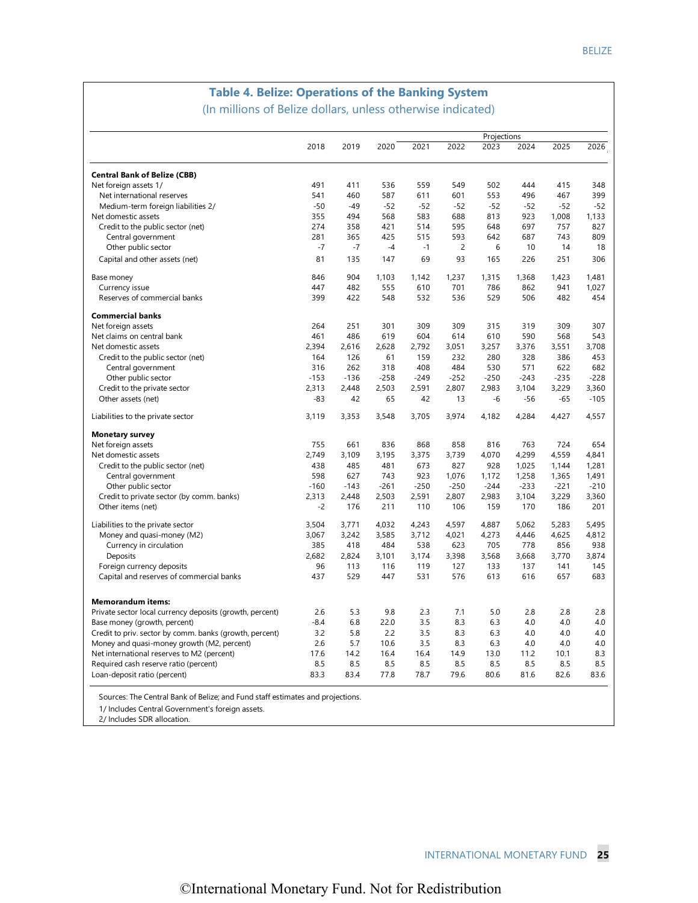# **Table 4. Belize: Operations of the Banking System**

(In millions of Belize dollars, unless otherwise indicated)

|                                                          |        |        |        |        |        | Projections |        |        |        |
|----------------------------------------------------------|--------|--------|--------|--------|--------|-------------|--------|--------|--------|
|                                                          | 2018   | 2019   | 2020   | 2021   | 2022   | 2023        | 2024   | 2025   | 2026   |
| <b>Central Bank of Belize (CBB)</b>                      |        |        |        |        |        |             |        |        |        |
| Net foreign assets 1/                                    | 491    | 411    | 536    | 559    | 549    | 502         | 444    | 415    | 348    |
| Net international reserves                               | 541    | 460    | 587    | 611    | 601    | 553         | 496    | 467    | 399    |
| Medium-term foreign liabilities 2/                       | $-50$  | $-49$  | $-52$  | $-52$  | $-52$  | $-52$       | $-52$  | $-52$  | $-52$  |
| Net domestic assets                                      | 355    | 494    | 568    | 583    | 688    | 813         | 923    | 1,008  | 1,133  |
| Credit to the public sector (net)                        | 274    | 358    | 421    | 514    | 595    | 648         | 697    | 757    | 827    |
| Central government                                       | 281    | 365    | 425    | 515    | 593    | 642         | 687    | 743    | 809    |
| Other public sector                                      | $-7$   | $-7$   | $-4$   | $-1$   | 2      | 6           | 10     | 14     | 18     |
| Capital and other assets (net)                           | 81     | 135    | 147    | 69     | 93     | 165         | 226    | 251    | 306    |
| Base money                                               | 846    | 904    | 1,103  | 1,142  | 1,237  | 1,315       | 1,368  | 1,423  | 1,481  |
| Currency issue                                           | 447    | 482    | 555    | 610    | 701    | 786         | 862    | 941    | 1,027  |
| Reserves of commercial banks                             | 399    | 422    | 548    | 532    | 536    | 529         | 506    | 482    | 454    |
| <b>Commercial banks</b>                                  |        |        |        |        |        |             |        |        |        |
| Net foreign assets                                       | 264    | 251    | 301    | 309    | 309    | 315         | 319    | 309    | 307    |
| Net claims on central bank                               | 461    | 486    | 619    | 604    | 614    | 610         | 590    | 568    | 543    |
| Net domestic assets                                      | 2,394  | 2.616  | 2.628  | 2,792  | 3,051  | 3,257       | 3,376  | 3,551  | 3,708  |
| Credit to the public sector (net)                        | 164    | 126    | 61     | 159    | 232    | 280         | 328    | 386    | 453    |
| Central government                                       | 316    | 262    | 318    | 408    | 484    | 530         | 571    | 622    | 682    |
| Other public sector                                      | $-153$ | $-136$ | $-258$ | $-249$ | $-252$ | $-250$      | $-243$ | $-235$ | $-228$ |
| Credit to the private sector                             | 2,313  | 2,448  | 2,503  | 2,591  | 2,807  | 2,983       | 3,104  | 3,229  | 3,360  |
| Other assets (net)                                       | -83    | 42     | 65     | 42     | 13     | -6          | $-56$  | $-65$  | $-105$ |
| Liabilities to the private sector                        | 3,119  | 3,353  | 3,548  | 3,705  | 3,974  | 4,182       | 4,284  | 4,427  | 4,557  |
| <b>Monetary survey</b>                                   |        |        |        |        |        |             |        |        |        |
| Net foreign assets                                       | 755    | 661    | 836    | 868    | 858    | 816         | 763    | 724    | 654    |
| Net domestic assets                                      | 2,749  | 3,109  | 3,195  | 3,375  | 3,739  | 4,070       | 4,299  | 4,559  | 4,841  |
| Credit to the public sector (net)                        | 438    | 485    | 481    | 673    | 827    | 928         | 1,025  | 1,144  | 1,281  |
| Central government                                       | 598    | 627    | 743    | 923    | 1,076  | 1,172       | 1,258  | 1,365  | 1,491  |
| Other public sector                                      | $-160$ | $-143$ | $-261$ | $-250$ | $-250$ | $-244$      | $-233$ | $-221$ | $-210$ |
| Credit to private sector (by comm. banks)                | 2,313  | 2,448  | 2,503  | 2,591  | 2,807  | 2,983       | 3,104  | 3,229  | 3,360  |
| Other items (net)                                        | $-2$   | 176    | 211    | 110    | 106    | 159         | 170    | 186    | 201    |
| Liabilities to the private sector                        | 3.504  | 3,771  | 4,032  | 4,243  | 4,597  | 4,887       | 5.062  | 5,283  | 5,495  |
| Money and quasi-money (M2)                               | 3,067  | 3,242  | 3,585  | 3,712  | 4,021  | 4,273       | 4,446  | 4,625  | 4,812  |
| Currency in circulation                                  | 385    | 418    | 484    | 538    | 623    | 705         | 778    | 856    | 938    |
| Deposits                                                 | 2.682  | 2.824  | 3.101  | 3,174  | 3,398  | 3,568       | 3.668  | 3.770  | 3,874  |
| Foreign currency deposits                                | 96     | 113    | 116    | 119    | 127    | 133         | 137    | 141    | 145    |
| Capital and reserves of commercial banks                 | 437    | 529    | 447    | 531    | 576    | 613         | 616    | 657    | 683    |
| <b>Memorandum items:</b>                                 |        |        |        |        |        |             |        |        |        |
| Private sector local currency deposits (growth, percent) | 2.6    | 5.3    | 9.8    | 2.3    | 7.1    | 5.0         | 2.8    | 2.8    | 2.8    |
| Base money (growth, percent)                             | $-8.4$ | 6.8    | 22.0   | 3.5    | 8.3    | 6.3         | 4.0    | 4.0    | 4.0    |
| Credit to priv. sector by comm. banks (growth, percent)  | 3.2    | 5.8    | 2.2    | 3.5    | 8.3    | 6.3         | 4.0    | 4.0    | 4.0    |
| Money and quasi-money growth (M2, percent)               | 2.6    | 5.7    | 10.6   | 3.5    | 8.3    | 6.3         | 4.0    | 4.0    | 4.0    |
| Net international reserves to M2 (percent)               | 17.6   | 14.2   | 16.4   | 16.4   | 14.9   | 13.0        | 11.2   | 10.1   | 8.3    |
| Required cash reserve ratio (percent)                    | 8.5    | 8.5    | 8.5    | 8.5    | 8.5    | 8.5         | 8.5    | 8.5    | 8.5    |
| Loan-deposit ratio (percent)                             | 83.3   | 83.4   | 77.8   | 78.7   | 79.6   | 80.6        | 81.6   | 82.6   | 83.6   |

Sources: The Central Bank of Belize; and Fund staff estimates and projections.

1/ Includes Central Government's foreign assets.

2/ Includes SDR allocation.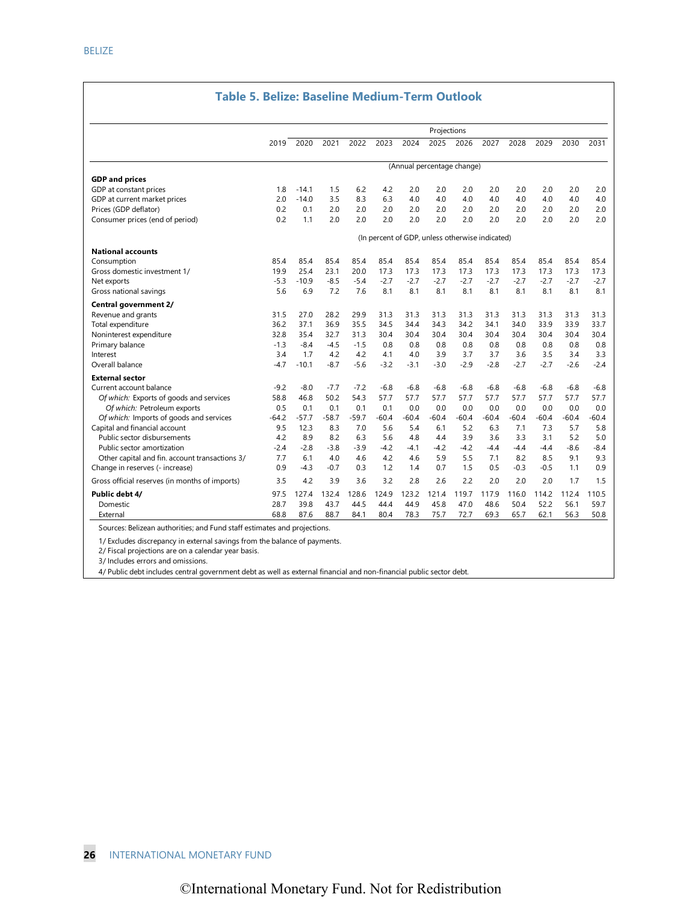#### **Table 5. Belize: Baseline Medium-Term Outlook**

|                                                |                                                 |         |         |         |         |         | Projections                |         |         |         |         |         |         |
|------------------------------------------------|-------------------------------------------------|---------|---------|---------|---------|---------|----------------------------|---------|---------|---------|---------|---------|---------|
|                                                | 2019                                            | 2020    | 2021    | 2022    | 2023    | 2024    | 2025                       | 2026    | 2027    | 2028    | 2029    | 2030    | 2031    |
|                                                |                                                 |         |         |         |         |         | (Annual percentage change) |         |         |         |         |         |         |
| <b>GDP</b> and prices                          |                                                 |         |         |         |         |         |                            |         |         |         |         |         |         |
| GDP at constant prices                         | 1.8                                             | $-14.1$ | 1.5     | 6.2     | 4.2     | 2.0     | 2.0                        | 2.0     | 2.0     | 2.0     | 2.0     | 2.0     | 2.0     |
| GDP at current market prices                   | 2.0                                             | $-14.0$ | 3.5     | 8.3     | 6.3     | 4.0     | 4.0                        | 4.0     | 4.0     | 4.0     | 4.0     | 4.0     | 4.0     |
| Prices (GDP deflator)                          | 0.2                                             | 0.1     | 2.0     | 2.0     | 2.0     | 2.0     | 2.0                        | 2.0     | 2.0     | 2.0     | 2.0     | 2.0     | 2.0     |
| Consumer prices (end of period)                | 0.2                                             | 1.1     | 2.0     | 2.0     | 2.0     | 2.0     | 2.0                        | 2.0     | 2.0     | 2.0     | 2.0     | 2.0     | 2.0     |
|                                                | (In percent of GDP, unless otherwise indicated) |         |         |         |         |         |                            |         |         |         |         |         |         |
| <b>National accounts</b>                       |                                                 |         |         |         |         |         |                            |         |         |         |         |         |         |
| Consumption                                    | 85.4                                            | 85.4    | 85.4    | 85.4    | 85.4    | 85.4    | 85.4                       | 85.4    | 85.4    | 85.4    | 85.4    | 85.4    | 85.4    |
| Gross domestic investment 1/                   | 19.9                                            | 25.4    | 23.1    | 20.0    | 17.3    | 17.3    | 17.3                       | 17.3    | 17.3    | 17.3    | 17.3    | 17.3    | 17.3    |
| Net exports                                    | $-5.3$                                          | $-10.9$ | $-8.5$  | $-5.4$  | $-2.7$  | $-2.7$  | $-2.7$                     | $-2.7$  | $-2.7$  | $-2.7$  | $-2.7$  | $-2.7$  | $-2.7$  |
| Gross national savings                         | 5.6                                             | 6.9     | 7.2     | 7.6     | 8.1     | 8.1     | 8.1                        | 8.1     | 8.1     | 8.1     | 8.1     | 8.1     | 8.1     |
| Central government 2/                          |                                                 |         |         |         |         |         |                            |         |         |         |         |         |         |
| Revenue and grants                             | 31.5                                            | 27.0    | 28.2    | 29.9    | 31.3    | 31.3    | 31.3                       | 31.3    | 31.3    | 31.3    | 31.3    | 31.3    | 31.3    |
| Total expenditure                              | 36.2                                            | 37.1    | 36.9    | 35.5    | 34.5    | 34.4    | 34.3                       | 34.2    | 34.1    | 34.0    | 33.9    | 33.9    | 33.7    |
| Noninterest expenditure                        | 32.8                                            | 35.4    | 32.7    | 31.3    | 30.4    | 30.4    | 30.4                       | 30.4    | 30.4    | 30.4    | 30.4    | 30.4    | 30.4    |
| Primary balance                                | $-1.3$                                          | $-8.4$  | $-4.5$  | $-1.5$  | 0.8     | 0.8     | 0.8                        | 0.8     | 0.8     | 0.8     | 0.8     | 0.8     | 0.8     |
| Interest                                       | 3.4                                             | 1.7     | 4.2     | 4.2     | 4.1     | 4.0     | 3.9                        | 3.7     | 3.7     | 3.6     | 3.5     | 3.4     | 3.3     |
| Overall balance                                | $-4.7$                                          | $-10.1$ | $-8.7$  | $-5.6$  | $-3.2$  | $-3.1$  | $-3.0$                     | $-2.9$  | $-2.8$  | $-2.7$  | $-2.7$  | $-2.6$  | $-2.4$  |
| <b>External sector</b>                         |                                                 |         |         |         |         |         |                            |         |         |         |         |         |         |
| Current account balance                        | $-9.2$                                          | $-8.0$  | $-7.7$  | $-7.2$  | $-6.8$  | $-6.8$  | $-6.8$                     | $-6.8$  | $-6.8$  | $-6.8$  | $-6.8$  | $-6.8$  | $-6.8$  |
| Of which: Exports of goods and services        | 58.8                                            | 46.8    | 50.2    | 54.3    | 57.7    | 57.7    | 57.7                       | 57.7    | 57.7    | 57.7    | 57.7    | 57.7    | 57.7    |
| Of which: Petroleum exports                    | 0.5                                             | 0.1     | 0.1     | 0.1     | 0.1     | 0.0     | 0.0                        | 0.0     | 0.0     | 0.0     | 0.0     | 0.0     | 0.0     |
| Of which: Imports of goods and services        | $-64.2$                                         | $-57.7$ | $-58.7$ | $-59.7$ | $-60.4$ | $-60.4$ | $-60.4$                    | $-60.4$ | $-60.4$ | $-60.4$ | $-60.4$ | $-60.4$ | $-60.4$ |
| Capital and financial account                  | 9.5                                             | 12.3    | 8.3     | 7.0     | 5.6     | 5.4     | 6.1                        | 5.2     | 6.3     | 7.1     | 7.3     | 5.7     | 5.8     |
| Public sector disbursements                    | 4.2                                             | 8.9     | 8.2     | 6.3     | 5.6     | 4.8     | 4.4                        | 3.9     | 3.6     | 3.3     | 3.1     | 5.2     | 5.0     |
| Public sector amortization                     | $-2.4$                                          | $-2.8$  | $-3.8$  | $-3.9$  | $-4.2$  | $-4.1$  | $-4.2$                     | $-4.2$  | $-4.4$  | $-4.4$  | $-4.4$  | $-8.6$  | $-8.4$  |
| Other capital and fin. account transactions 3/ | 7.7                                             | 6.1     | 4.0     | 4.6     | 4.2     | 4.6     | 5.9                        | 5.5     | 7.1     | 8.2     | 8.5     | 9.1     | 9.3     |
| Change in reserves (- increase)                | 0.9                                             | $-4.3$  | $-0.7$  | 0.3     | 1.2     | 1.4     | 0.7                        | 1.5     | 0.5     | $-0.3$  | $-0.5$  | 1.1     | 0.9     |
| Gross official reserves (in months of imports) | 3.5                                             | 4.2     | 3.9     | 3.6     | 3.2     | 2.8     | 2.6                        | 2.2     | 2.0     | 2.0     | 2.0     | 1.7     | 1.5     |
| Public debt 4/                                 | 97.5                                            | 127.4   | 132.4   | 128.6   | 124.9   | 123.2   | 121.4                      | 119.7   | 117.9   | 116.0   | 114.2   | 112.4   | 110.5   |
| Domestic                                       | 28.7                                            | 39.8    | 43.7    | 44.5    | 44.4    | 44.9    | 45.8                       | 47.0    | 48.6    | 50.4    | 52.2    | 56.1    | 59.7    |
| External                                       | 68.8                                            | 87.6    | 88.7    | 84.1    | 80.4    | 78.3    | 75.7                       | 72.7    | 69.3    | 65.7    | 62.1    | 56.3    | 50.8    |

1/ Excludes discrepancy in external savings from the balance of payments.

2/ Fiscal projections are on a calendar year basis.

3/ Includes errors and omissions.

4/ Public debt includes central government debt as well as external financial and non-financial public sector debt.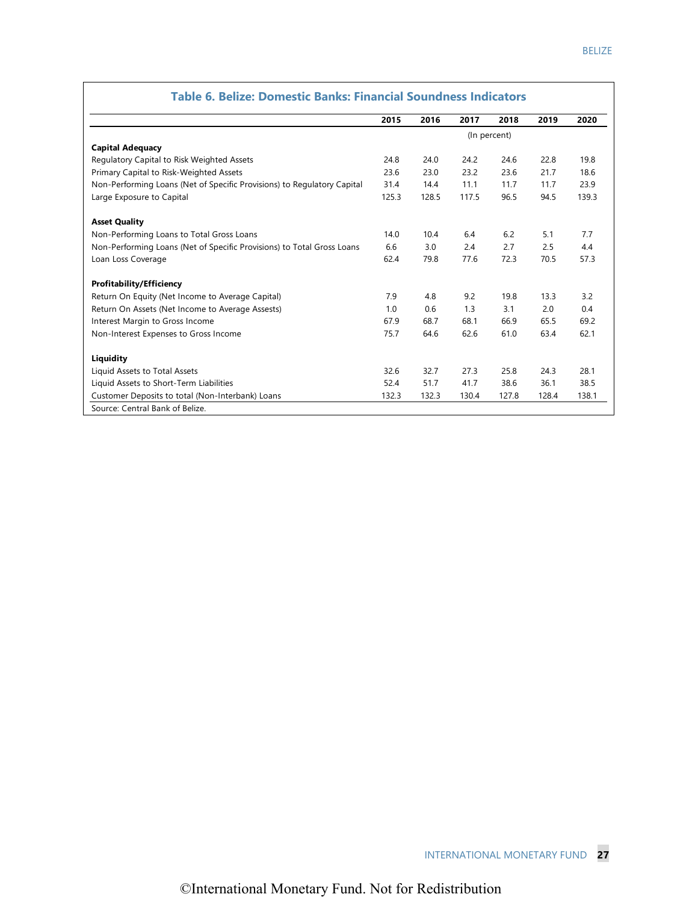|                                                                         | 2015  | 2016  | 2017  | 2018         | 2019  | 2020  |
|-------------------------------------------------------------------------|-------|-------|-------|--------------|-------|-------|
|                                                                         |       |       |       | (In percent) |       |       |
| <b>Capital Adequacy</b>                                                 |       |       |       |              |       |       |
| Regulatory Capital to Risk Weighted Assets                              | 24.8  | 24.0  | 24.2  | 24.6         | 22.8  | 19.8  |
| Primary Capital to Risk-Weighted Assets                                 | 23.6  | 23.0  | 23.2  | 23.6         | 21.7  | 18.6  |
| Non-Performing Loans (Net of Specific Provisions) to Regulatory Capital | 31.4  | 14.4  | 11.1  | 11.7         | 11.7  | 23.9  |
| Large Exposure to Capital                                               | 125.3 | 128.5 | 117.5 | 96.5         | 94.5  | 139.3 |
| <b>Asset Quality</b>                                                    |       |       |       |              |       |       |
| Non-Performing Loans to Total Gross Loans                               | 14.0  | 10.4  | 6.4   | 6.2          | 5.1   | 7.7   |
| Non-Performing Loans (Net of Specific Provisions) to Total Gross Loans  | 6.6   | 3.0   | 2.4   | 2.7          | 2.5   | 4.4   |
| Loan Loss Coverage                                                      | 62.4  | 79.8  | 77.6  | 72.3         | 70.5  | 57.3  |
| <b>Profitability/Efficiency</b>                                         |       |       |       |              |       |       |
| Return On Equity (Net Income to Average Capital)                        | 7.9   | 4.8   | 9.2   | 19.8         | 13.3  | 3.2   |
| Return On Assets (Net Income to Average Assests)                        | 1.0   | 0.6   | 1.3   | 3.1          | 2.0   | 0.4   |
| Interest Margin to Gross Income                                         | 67.9  | 68.7  | 68.1  | 66.9         | 65.5  | 69.2  |
| Non-Interest Expenses to Gross Income                                   | 75.7  | 64.6  | 62.6  | 61.0         | 63.4  | 62.1  |
| Liquidity                                                               |       |       |       |              |       |       |
| Liquid Assets to Total Assets                                           | 32.6  | 32.7  | 27.3  | 25.8         | 24.3  | 28.1  |
| Liquid Assets to Short-Term Liabilities                                 | 52.4  | 51.7  | 41.7  | 38.6         | 36.1  | 38.5  |
| Customer Deposits to total (Non-Interbank) Loans                        | 132.3 | 132.3 | 130.4 | 127.8        | 128.4 | 138.1 |

# **Table 6. Belize: Domestic Banks: Financial Soundness Indicators**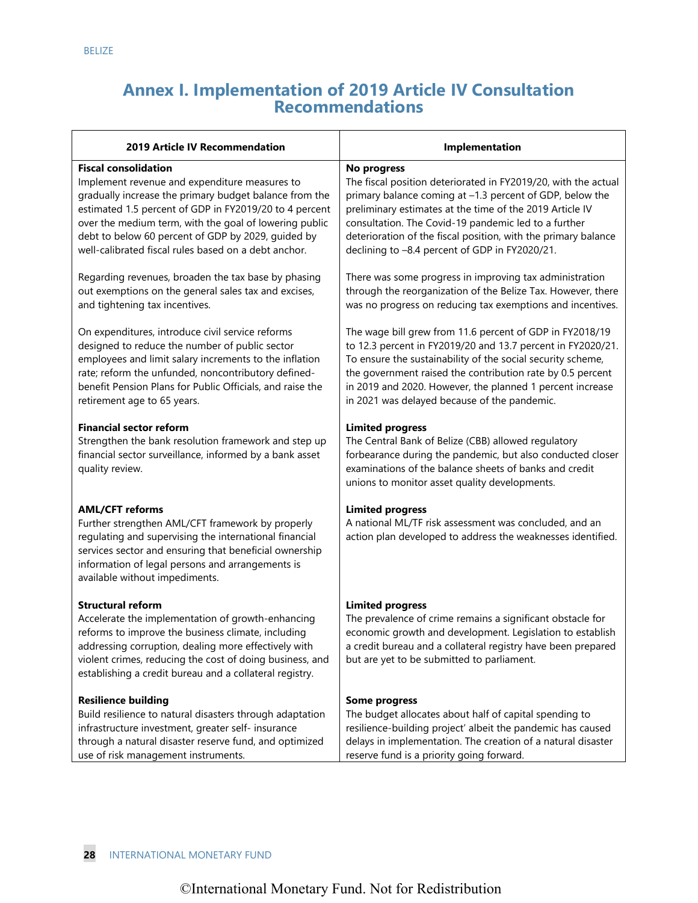# **Annex I. Implementation of 2019 Article IV Consultation Recommendations**

| <b>2019 Article IV Recommendation</b>                                                                                                                                                                                                                                                                              | Implementation                                                                                                                                                                                                                                                   |
|--------------------------------------------------------------------------------------------------------------------------------------------------------------------------------------------------------------------------------------------------------------------------------------------------------------------|------------------------------------------------------------------------------------------------------------------------------------------------------------------------------------------------------------------------------------------------------------------|
| <b>Fiscal consolidation</b>                                                                                                                                                                                                                                                                                        | No progress                                                                                                                                                                                                                                                      |
| Implement revenue and expenditure measures to                                                                                                                                                                                                                                                                      | The fiscal position deteriorated in FY2019/20, with the actual                                                                                                                                                                                                   |
| gradually increase the primary budget balance from the                                                                                                                                                                                                                                                             | primary balance coming at -1.3 percent of GDP, below the                                                                                                                                                                                                         |
| estimated 1.5 percent of GDP in FY2019/20 to 4 percent                                                                                                                                                                                                                                                             | preliminary estimates at the time of the 2019 Article IV                                                                                                                                                                                                         |
| over the medium term, with the goal of lowering public                                                                                                                                                                                                                                                             | consultation. The Covid-19 pandemic led to a further                                                                                                                                                                                                             |
| debt to below 60 percent of GDP by 2029, guided by                                                                                                                                                                                                                                                                 | deterioration of the fiscal position, with the primary balance                                                                                                                                                                                                   |
| well-calibrated fiscal rules based on a debt anchor.                                                                                                                                                                                                                                                               | declining to -8.4 percent of GDP in FY2020/21.                                                                                                                                                                                                                   |
| Regarding revenues, broaden the tax base by phasing                                                                                                                                                                                                                                                                | There was some progress in improving tax administration                                                                                                                                                                                                          |
| out exemptions on the general sales tax and excises,                                                                                                                                                                                                                                                               | through the reorganization of the Belize Tax. However, there                                                                                                                                                                                                     |
| and tightening tax incentives.                                                                                                                                                                                                                                                                                     | was no progress on reducing tax exemptions and incentives.                                                                                                                                                                                                       |
| On expenditures, introduce civil service reforms                                                                                                                                                                                                                                                                   | The wage bill grew from 11.6 percent of GDP in FY2018/19                                                                                                                                                                                                         |
| designed to reduce the number of public sector                                                                                                                                                                                                                                                                     | to 12.3 percent in FY2019/20 and 13.7 percent in FY2020/21.                                                                                                                                                                                                      |
| employees and limit salary increments to the inflation                                                                                                                                                                                                                                                             | To ensure the sustainability of the social security scheme,                                                                                                                                                                                                      |
| rate; reform the unfunded, noncontributory defined-                                                                                                                                                                                                                                                                | the government raised the contribution rate by 0.5 percent                                                                                                                                                                                                       |
| benefit Pension Plans for Public Officials, and raise the                                                                                                                                                                                                                                                          | in 2019 and 2020. However, the planned 1 percent increase                                                                                                                                                                                                        |
| retirement age to 65 years.                                                                                                                                                                                                                                                                                        | in 2021 was delayed because of the pandemic.                                                                                                                                                                                                                     |
| <b>Financial sector reform</b><br>Strengthen the bank resolution framework and step up<br>financial sector surveillance, informed by a bank asset<br>quality review.                                                                                                                                               | <b>Limited progress</b><br>The Central Bank of Belize (CBB) allowed regulatory<br>forbearance during the pandemic, but also conducted closer<br>examinations of the balance sheets of banks and credit<br>unions to monitor asset quality developments.          |
| <b>AML/CFT reforms</b><br>Further strengthen AML/CFT framework by properly<br>regulating and supervising the international financial<br>services sector and ensuring that beneficial ownership<br>information of legal persons and arrangements is<br>available without impediments.                               | <b>Limited progress</b><br>A national ML/TF risk assessment was concluded, and an<br>action plan developed to address the weaknesses identified.                                                                                                                 |
| <b>Structural reform</b><br>Accelerate the implementation of growth-enhancing<br>reforms to improve the business climate, including<br>addressing corruption, dealing more effectively with<br>violent crimes, reducing the cost of doing business, and<br>establishing a credit bureau and a collateral registry. | <b>Limited progress</b><br>The prevalence of crime remains a significant obstacle for<br>economic growth and development. Legislation to establish<br>a credit bureau and a collateral registry have been prepared<br>but are yet to be submitted to parliament. |
| <b>Resilience building</b>                                                                                                                                                                                                                                                                                         | <b>Some progress</b>                                                                                                                                                                                                                                             |
| Build resilience to natural disasters through adaptation                                                                                                                                                                                                                                                           | The budget allocates about half of capital spending to                                                                                                                                                                                                           |
| infrastructure investment, greater self- insurance                                                                                                                                                                                                                                                                 | resilience-building project' albeit the pandemic has caused                                                                                                                                                                                                      |
| through a natural disaster reserve fund, and optimized                                                                                                                                                                                                                                                             | delays in implementation. The creation of a natural disaster                                                                                                                                                                                                     |
| use of risk management instruments.                                                                                                                                                                                                                                                                                | reserve fund is a priority going forward.                                                                                                                                                                                                                        |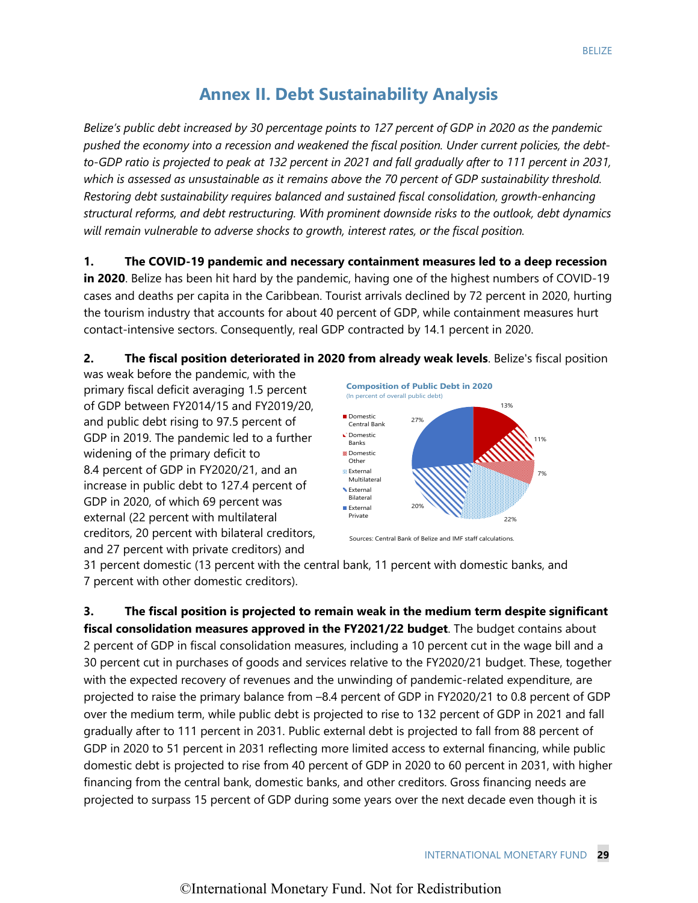# **Annex II. Debt Sustainability Analysis**

*Belize's public debt increased by 30 percentage points to 127 percent of GDP in 2020 as the pandemic pushed the economy into a recession and weakened the fiscal position. Under current policies, the debtto-GDP ratio is projected to peak at 132 percent in 2021 and fall gradually after to 111 percent in 2031, which is assessed as unsustainable as it remains above the 70 percent of GDP sustainability threshold. Restoring debt sustainability requires balanced and sustained fiscal consolidation, growth-enhancing structural reforms, and debt restructuring. With prominent downside risks to the outlook, debt dynamics will remain vulnerable to adverse shocks to growth, interest rates, or the fiscal position.* 

**1. The COVID-19 pandemic and necessary containment measures led to a deep recession in 2020**. Belize has been hit hard by the pandemic, having one of the highest numbers of COVID-19 cases and deaths per capita in the Caribbean. Tourist arrivals declined by 72 percent in 2020, hurting the tourism industry that accounts for about 40 percent of GDP, while containment measures hurt contact-intensive sectors. Consequently, real GDP contracted by 14.1 percent in 2020.

**2. The fiscal position deteriorated in 2020 from already weak levels**. Belize's fiscal position

was weak before the pandemic, with the primary fiscal deficit averaging 1.5 percent of GDP between FY2014/15 and FY2019/20, and public debt rising to 97.5 percent of GDP in 2019. The pandemic led to a further widening of the primary deficit to 8.4 percent of GDP in FY2020/21, and an increase in public debt to 127.4 percent of GDP in 2020, of which 69 percent was external (22 percent with multilateral creditors, 20 percent with bilateral creditors, and 27 percent with private creditors) and

![](_page_25_Figure_6.jpeg)

Sources: Central Bank of Belize and IMF staff calculations.

31 percent domestic (13 percent with the central bank, 11 percent with domestic banks, and 7 percent with other domestic creditors).

**3. The fiscal position is projected to remain weak in the medium term despite significant fiscal consolidation measures approved in the FY2021/22 budget**. The budget contains about 2 percent of GDP in fiscal consolidation measures, including a 10 percent cut in the wage bill and a 30 percent cut in purchases of goods and services relative to the FY2020/21 budget. These, together with the expected recovery of revenues and the unwinding of pandemic-related expenditure, are projected to raise the primary balance from –8.4 percent of GDP in FY2020/21 to 0.8 percent of GDP over the medium term, while public debt is projected to rise to 132 percent of GDP in 2021 and fall gradually after to 111 percent in 2031. Public external debt is projected to fall from 88 percent of GDP in 2020 to 51 percent in 2031 reflecting more limited access to external financing, while public domestic debt is projected to rise from 40 percent of GDP in 2020 to 60 percent in 2031, with higher financing from the central bank, domestic banks, and other creditors. Gross financing needs are projected to surpass 15 percent of GDP during some years over the next decade even though it is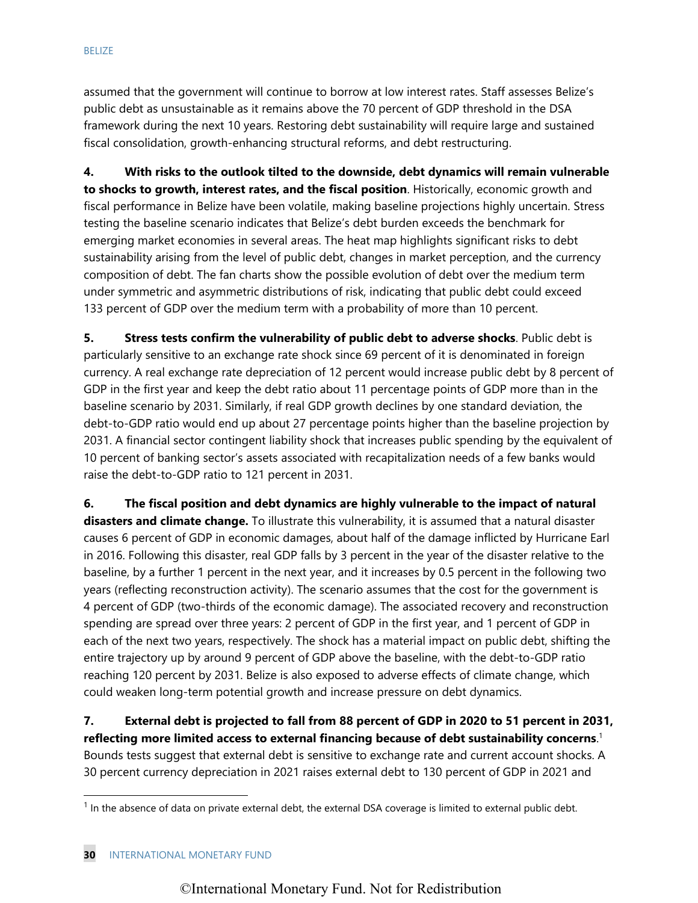assumed that the government will continue to borrow at low interest rates. Staff assesses Belize's public debt as unsustainable as it remains above the 70 percent of GDP threshold in the DSA framework during the next 10 years. Restoring debt sustainability will require large and sustained fiscal consolidation, growth-enhancing structural reforms, and debt restructuring.

**4. With risks to the outlook tilted to the downside, debt dynamics will remain vulnerable to shocks to growth, interest rates, and the fiscal position**. Historically, economic growth and fiscal performance in Belize have been volatile, making baseline projections highly uncertain. Stress testing the baseline scenario indicates that Belize's debt burden exceeds the benchmark for emerging market economies in several areas. The heat map highlights significant risks to debt sustainability arising from the level of public debt, changes in market perception, and the currency composition of debt. The fan charts show the possible evolution of debt over the medium term under symmetric and asymmetric distributions of risk, indicating that public debt could exceed 133 percent of GDP over the medium term with a probability of more than 10 percent.

**5. Stress tests confirm the vulnerability of public debt to adverse shocks**. Public debt is particularly sensitive to an exchange rate shock since 69 percent of it is denominated in foreign currency. A real exchange rate depreciation of 12 percent would increase public debt by 8 percent of GDP in the first year and keep the debt ratio about 11 percentage points of GDP more than in the baseline scenario by 2031. Similarly, if real GDP growth declines by one standard deviation, the debt-to-GDP ratio would end up about 27 percentage points higher than the baseline projection by 2031. A financial sector contingent liability shock that increases public spending by the equivalent of 10 percent of banking sector's assets associated with recapitalization needs of a few banks would raise the debt-to-GDP ratio to 121 percent in 2031.

**6. The fiscal position and debt dynamics are highly vulnerable to the impact of natural disasters and climate change.** To illustrate this vulnerability, it is assumed that a natural disaster causes 6 percent of GDP in economic damages, about half of the damage inflicted by Hurricane Earl in 2016. Following this disaster, real GDP falls by 3 percent in the year of the disaster relative to the baseline, by a further 1 percent in the next year, and it increases by 0.5 percent in the following two years (reflecting reconstruction activity). The scenario assumes that the cost for the government is 4 percent of GDP (two-thirds of the economic damage). The associated recovery and reconstruction spending are spread over three years: 2 percent of GDP in the first year, and 1 percent of GDP in each of the next two years, respectively. The shock has a material impact on public debt, shifting the entire trajectory up by around 9 percent of GDP above the baseline, with the debt-to-GDP ratio reaching 120 percent by 2031. Belize is also exposed to adverse effects of climate change, which could weaken long-term potential growth and increase pressure on debt dynamics.

**7. External debt is projected to fall from 88 percent of GDP in 2020 to 51 percent in 2031, reflecting more limited access to external financing because of debt sustainability concerns**. 1 Bounds tests suggest that external debt is sensitive to exchange rate and current account shocks. A 30 percent currency depreciation in 2021 raises external debt to 130 percent of GDP in 2021 and

 $1$  In the absence of data on private external debt, the external DSA coverage is limited to external public debt.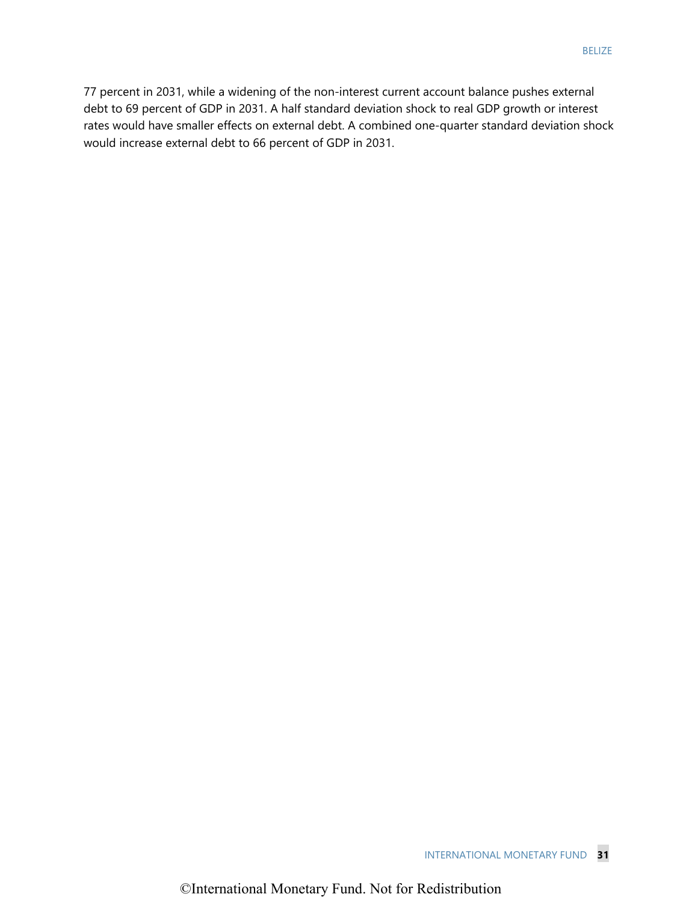77 percent in 2031, while a widening of the non-interest current account balance pushes external debt to 69 percent of GDP in 2031. A half standard deviation shock to real GDP growth or interest rates would have smaller effects on external debt. A combined one-quarter standard deviation shock would increase external debt to 66 percent of GDP in 2031.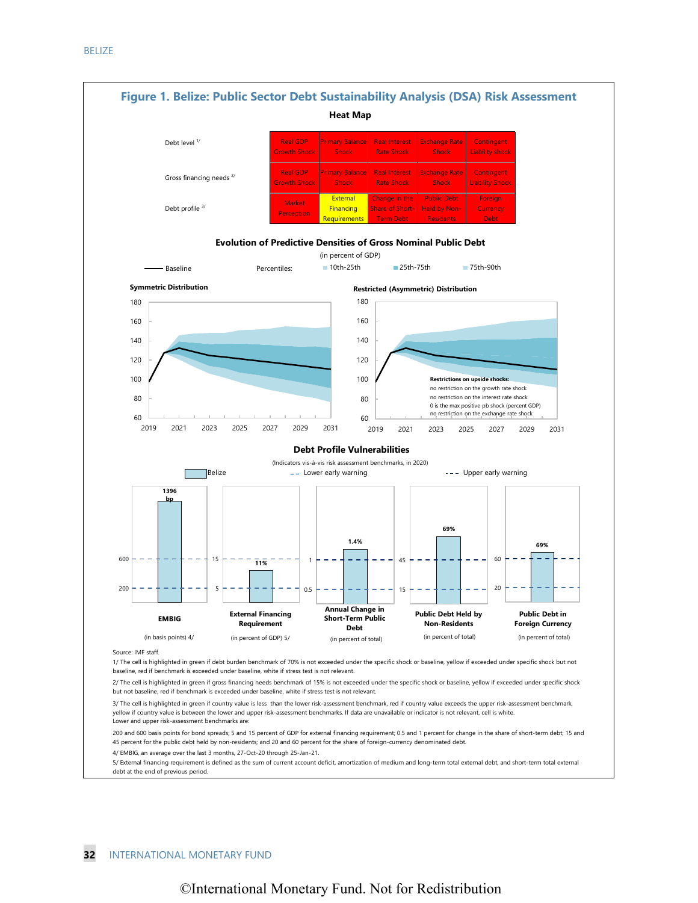![](_page_28_Figure_1.jpeg)

5/ External financing requirement is defined as the sum of current account deficit, amortization of medium and long-term total external debt, and short-term total external debt at the end of previous period.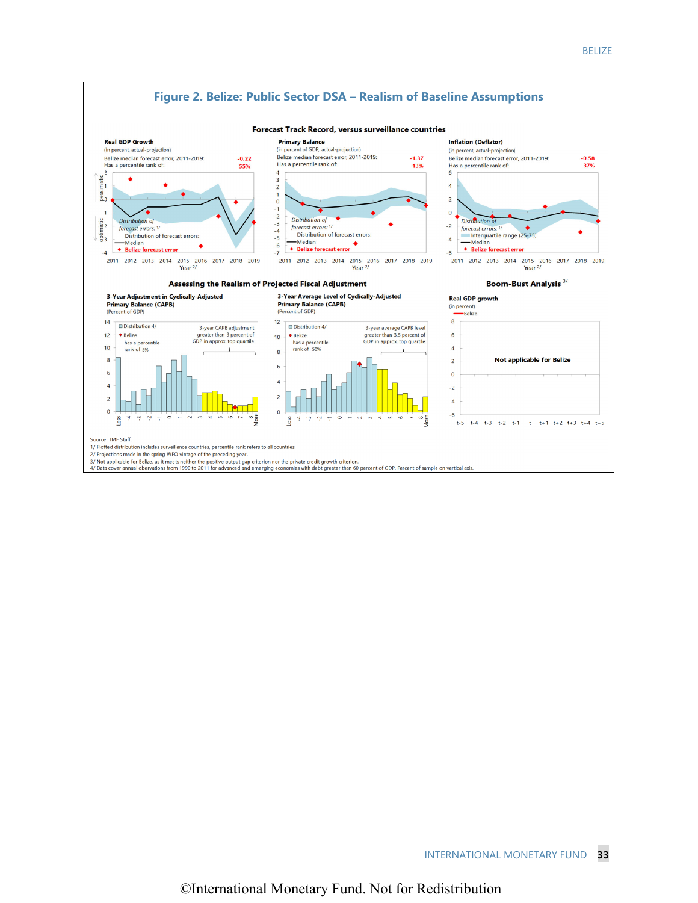![](_page_29_Figure_1.jpeg)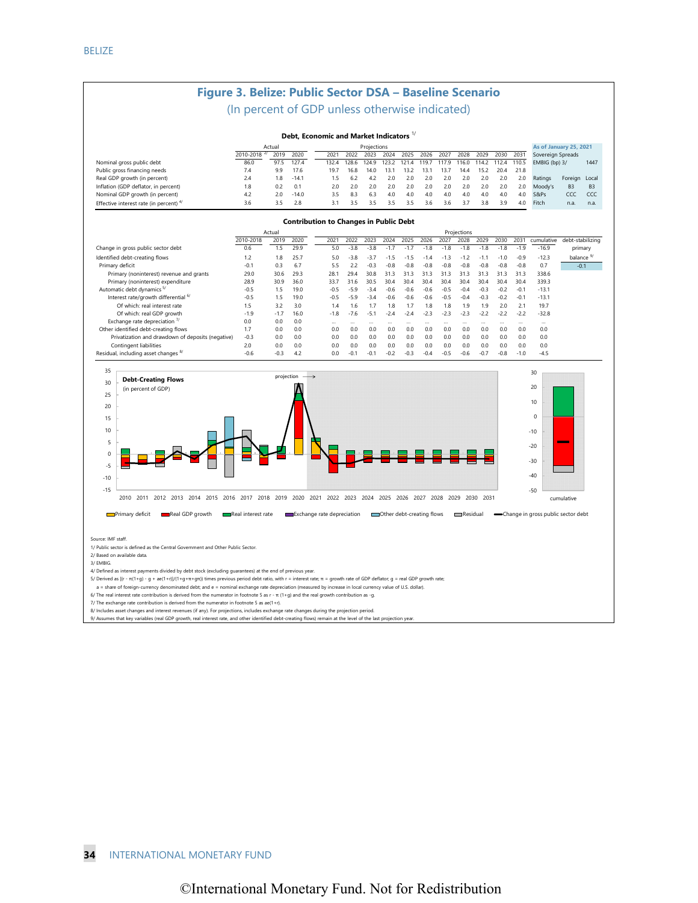### **Figure 3. Belize: Public Sector DSA – Baseline Scenario**

#### (In percent of GDP unless otherwise indicated)

#### **Debt, Economic and Market Indicators** 1/

|                                         | Actual    |      |         | Projections |       |       |       |       |      |       |       |       |       |       | As of January 25, 2021 |                |           |
|-----------------------------------------|-----------|------|---------|-------------|-------|-------|-------|-------|------|-------|-------|-------|-------|-------|------------------------|----------------|-----------|
|                                         | 2010-2018 | 2019 | 2020    | 2021        | 2022  | 2023  | 2024  | 2025  | 2026 | 2027  | 2028  | 2029  | 2030  | 2031  | Sovereign Spreads      |                |           |
| Nominal gross public debt               | 86.0      | 97.5 | 127.4   | 132.4       | 128.6 | 124.9 | 123.2 | 121.4 | 119. | 117.9 | 116.0 | 114.2 | 112.4 | 110.5 | EMBIG (bp) 3/          |                | 1447      |
| Public gross financing needs            | 7.4       | 99   | 17.6    | 19.7        | 16.8  | 14.0  | 13.1  | 13.2  | 31   | 13.7  | 144   | 15.2  | 20.4  | 21.8  |                        |                |           |
| Real GDP growth (in percent)            | 2.4       | 1.8  | $-14.1$ |             | 6.2   | 42    | 2.0   | 2.0   | 2.0  | 2.0   | 2.0   | 2.0   | 2.0   | 2.0   | Ratings                | Foreign Local  |           |
| Inflation (GDP deflator, in percent)    | 1.8       | 0.2  | 0.1     | 2.0         | 20    | 20    | 2.0   | 2.0   | 2.0  | 2.0   | 2.0   | 2.0   | 2.0   | 20    | Moody's                | B <sub>3</sub> | <b>B3</b> |
| Nominal GDP growth (in percent)         | 4.2       | 20   | $-14.0$ | 3.5         | 83    | 63    | 4.0   | 40    | 40   | 4.0   | 40    | 40    | 40    | 4.0   | S&Ps                   | CCC            | CCC       |
| Effective interest rate (in percent) 4/ | 3.6       | २ ५  | 2.8     | 31          |       |       | -35   | 25    | 36   | 36    |       | 38    | -29   | 4.0   | Fitch                  | n.a.           | n.a.      |

#### **Contribution to Changes in Public Debt**

|                                                   | Actual    |        |      | Projections |          |                |          |          |                |          |          |        |          |        |            |                      |
|---------------------------------------------------|-----------|--------|------|-------------|----------|----------------|----------|----------|----------------|----------|----------|--------|----------|--------|------------|----------------------|
|                                                   | 2010-2018 | 2019   | 2020 | 2021        | 2022     | 2023           | 2024     | 2025     | 2026           | 2027     | 2028     | 2029   | 2030     | 2031   | cumulative | debt-stabilizing     |
| Change in gross public sector debt                | 0.6       | 1.5    | 29.9 | 5.0         | $-3.8$   | $-3.8$         | $-17$    | $-1.7$   | $-1.8$         | $-1.8$   | $-1.8$   | $-1.8$ | $-1.8$   | $-1.9$ | $-16.9$    | primary              |
| Identified debt-creating flows                    | 1.2       | 1.8    | 25.7 | 5.0         | $-3.8$   | $-3.7$         | $-1.5$   | $-1.5$   | $-1.4$         | $-1.3$   | $-1.2$   | $-1.1$ | $-1.0$   | $-0.9$ | $-12.3$    | balance <sup>9</sup> |
| Primary deficit                                   | $-0.7$    | 0.3    | 6.7  | 5.5         | 2.2      | $-0.3$         | $-0.8$   | $-0.8$   | $-0.8$         | $-0.8$   | $-0.8$   | $-0.8$ | $-0.8$   | $-0.8$ | 0.7        | $-0.1$               |
| Primary (noninterest) revenue and grants          | 29.0      | 30.6   | 29.3 | 28.1        | 29.4     | 30.8           | 31.3     | 31.3     | 31.3           | 31.3     | 31.3     | 31.3   | 31.3     | 31.3   | 338.6      |                      |
| Primary (noninterest) expenditure                 | 28.9      | 30.9   | 36.0 | 33.7        | 31.6     | 30.5           | 30.4     | 30.4     | 30.4           | 30.4     | 30.4     | 30.4   | 30.4     | 30.4   | 339.3      |                      |
| Automatic debt dynamics <sup>5/</sup>             | $-0.5$    | 1.5    | 19.0 | $-0.5$      | $-5.9$   | $-3.4$         | $-0.6$   | $-0.6$   | $-0.6$         | $-0.5$   | $-0.4$   | $-0.3$ | $-0.2$   | $-0.1$ | $-13.1$    |                      |
| Interest rate/growth differential 6/              | $-0.5$    | 1.5    | 19.0 | $-0.5$      | $-5.9$   | $-3.4$         | $-0.6$   | $-0.6$   | $-0.6$         | $-0.5$   | $-0.4$   | $-0.3$ | $-0.2$   | $-0.1$ | $-13.1$    |                      |
| Of which: real interest rate                      | 1.5       | 3.2    | 3.0  | 1.4         | 1.6      | 1.7            | 1.8      | 1.7      | 1.8            | .8       | 1.9      | 1.9    | 2.0      | 2.1    | 19.7       |                      |
| Of which: real GDP growth                         | $-1.9$    | $-1.7$ | 16.0 | $-1.8$      | $-7.6$   | $-5.1$         | $-2.4$   | $-2.4$   | $-2.3$         | $-2.3$   | $-2.3$   | $-22$  | $-2.2$   | $-2.2$ | $-32.8$    |                      |
| Exchange rate depreciation $\frac{7}{2}$          | 0.0       | 0.0    | 0.0  |             | $\cdots$ | $\cdots$       | $\cdots$ | $\cdots$ |                | $\cdots$ | $\cdots$ |        | $\cdots$ |        | $\cdots$   |                      |
| Other identified debt-creating flows              | 1.7       | 0.0    | 0.0  | 0.0         | 0.0      | 0 <sub>0</sub> | 0.0      | 0.0      | 0 <sub>0</sub> | 0.0      | 0.0      | 0.0    | 0.0      | 0.0    | 0.0        |                      |
| Privatization and drawdown of deposits (negative) | $-0.3$    | 0.0    | 0.0  | 0.0         | 0.0      | 0.0            | 0.0      | 0.0      | 0.0            | 0.0      | 0.0      | 0.0    | 0.0      | 0.0    | 0.0        |                      |
| Contingent liabilities                            | 2.0       | 0.0    | 0.0  | 0.0         | 0.0      | 0.0            | 0.0      | 0.0      | 0.0            | 0.0      | 0.0      | 0.0    | 0.0      | 0.0    | 0.0        |                      |
| Residual, including asset changes <sup>8/</sup>   | $-0.6$    | $-0.3$ | 4.2  | 0.0         | $-0.1$   | $-0.1$         | $-0.2$   | $-0.3$   | $-0.4$         | $-0.5$   | $-0.6$   | $-0.7$ | $-0.8$   | $-1.0$ | $-4.5$     |                      |

![](_page_30_Figure_7.jpeg)

**Real GDP** growth **Real interest rate** Exchange rate depreciation **CO**ther debt-creating flows **CONFICION CHANGE CHANGE CONFICION** CHANGE IN GROSS public sector debt

Source: IMF staff.

1/ Public sector is defined as the Central Government and Other Public Sector.

2/ Based on available data.

3/ EMBIG.

4/ Defined as interest payments divided by debt stock (excluding guarantees) at the end of previous year.

5/ Derived as [(r - π(1+g) - g + ae(1+r)]/(1+g+π+gπ)) times previous period debt ratio, with r = interest rate; π = growth rate of GDP deflator; g = real GDP growth rate;

a = share of foreign-currency denominated debt; and e = nominal exchange rate depreciation (measured by increase in local currency value of U.S. dollar).

6/ The real interest rate contribution is derived from the numerator in footnote 5 as r - π (1+g) and the real growth contribution as -g.

7/ The exchange rate contribution is derived from the numerator in footnote 5 as ae(1+r).

8/ Includes asset changes and interest revenues (if any). For projections, includes exchange rate changes during the projection period.

9/ Assumes that key variables (real GDP growth, real interest rate, and other identified debt-creating flows) remain at the level of the last pro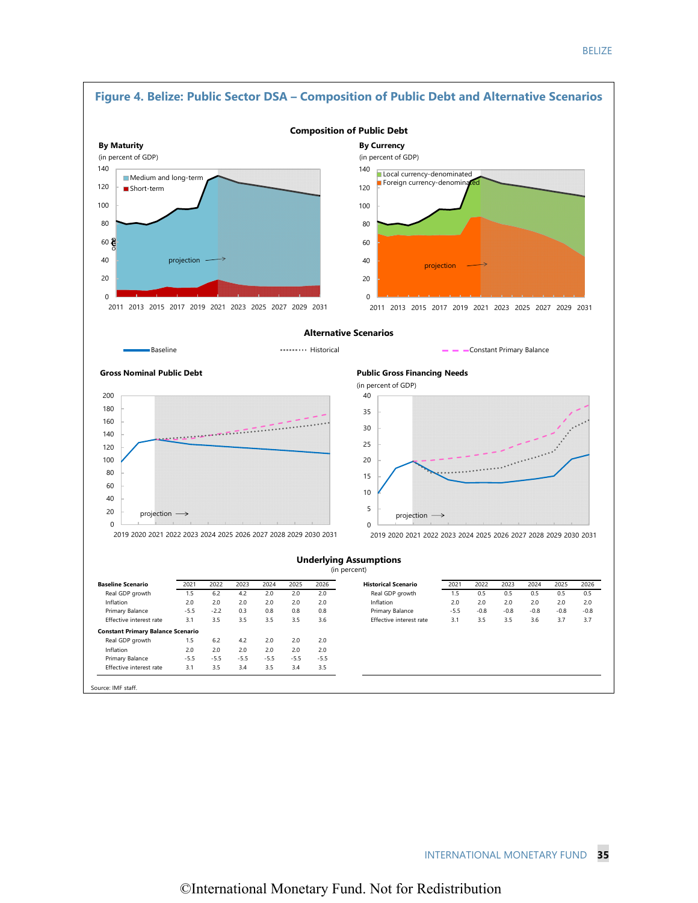![](_page_31_Figure_1.jpeg)

Source: IMF staff.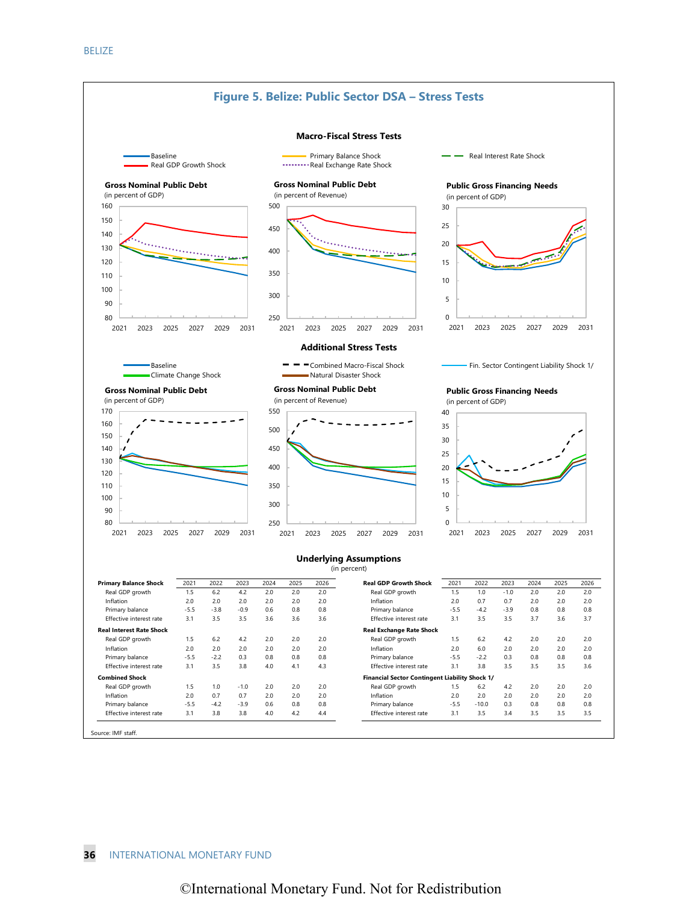![](_page_32_Figure_1.jpeg)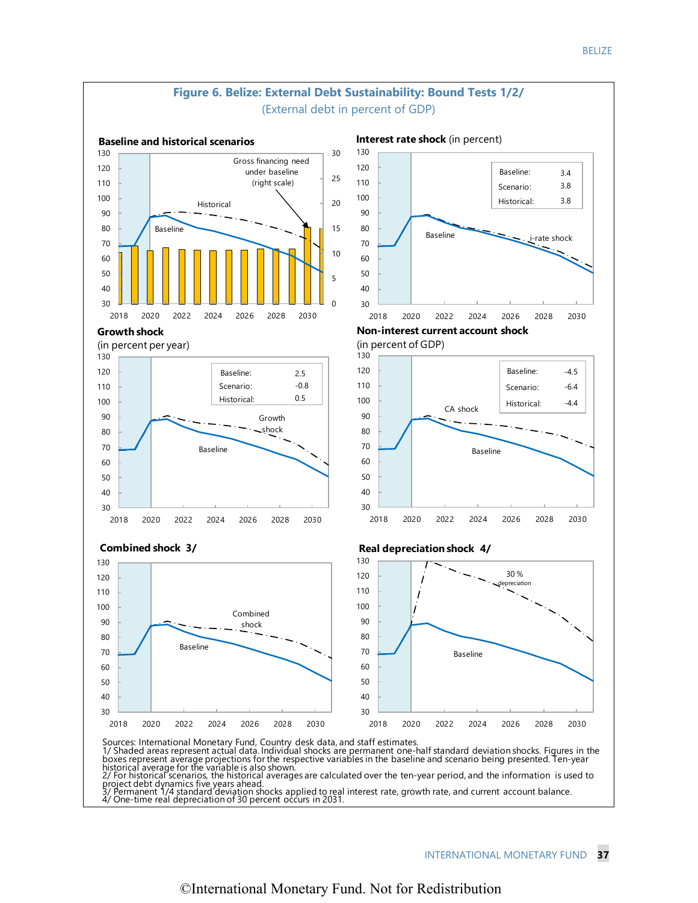![](_page_33_Figure_1.jpeg)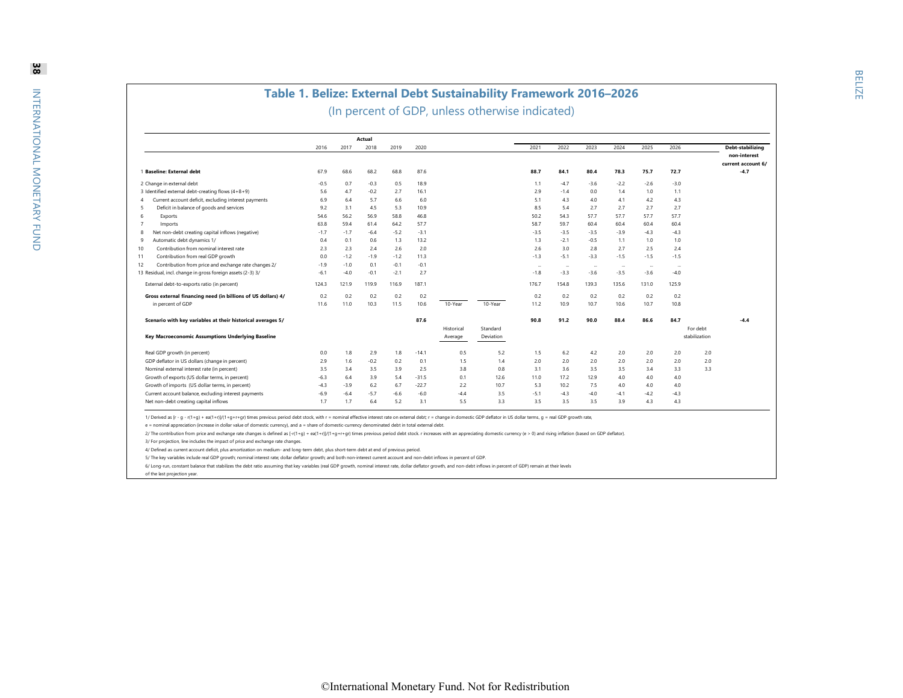|                                                              |        |        | Actual |        |         |            |           |                          |           |                          |          |        |          |                    |
|--------------------------------------------------------------|--------|--------|--------|--------|---------|------------|-----------|--------------------------|-----------|--------------------------|----------|--------|----------|--------------------|
|                                                              | 2016   | 2017   | 2018   | 2019   | 2020    |            |           | 2021                     | 2022      | 2023                     | 2024     | 2025   | 2026     | Debt-stabilizing   |
|                                                              |        |        |        |        |         |            |           |                          |           |                          |          |        |          |                    |
|                                                              |        |        |        |        |         |            |           |                          |           |                          |          |        |          | current account 6/ |
| 1 Baseline: External debt                                    | 67.9   | 68.6   | 68.2   | 68.8   | 87.6    |            |           | 88.7                     | 84.1      | 80.4                     | 78.3     | 75.7   | 72.7     |                    |
| 2 Change in external debt                                    | $-0.5$ | 0.7    | $-0.3$ | 0.5    | 18.9    |            |           | 1.1                      | $-4.7$    | $-3.6$                   | $-2.2$   | $-2.6$ | $-3.0$   |                    |
| 3 Identified external debt-creating flows (4+8+9)            | 5.6    | 4.7    | $-0.2$ | 2.7    | 16.1    |            |           | 2.9                      | $-1.4$    | 0.0                      | 1.4      | 1.0    | 1.1      |                    |
| Current account deficit, excluding interest payments<br>4    | 6.9    | 6.4    | 5.7    | 6.6    | 6.0     |            |           | 5.1                      | 4.3       | 4.0                      | 4.1      | 4.2    | 4.3      |                    |
| Deficit in balance of goods and services<br>5                | 9.2    | 3.1    | 4.5    | 5.3    | 10.9    |            |           | 8.5                      | 5.4       | 2.7                      | 2.7      | 2.7    | 2.7      |                    |
| Exports<br>-6                                                | 54.6   | 56.2   | 56.9   | 58.8   | 46.8    |            |           | 50.2                     | 54.3      | 57.7                     | 57.7     | 57.7   | 57.7     |                    |
| -7<br>Imports                                                | 63.8   | 59.4   | 61.4   | 64.2   | 57.7    |            |           | 58.7                     | 59.7      | 60.4                     | 60.4     | 60.4   | 60.4     |                    |
| Net non-debt creating capital inflows (negative)<br>8        | $-1.7$ | $-1.7$ | $-6.4$ | $-5.2$ | $-3.1$  |            |           | $-3.5$                   | $-3.5$    | $-3.5$                   | $-3.9$   | $-4.3$ | $-4.3$   |                    |
| Automatic debt dynamics 1/<br>-9                             | 0.4    | 0.1    | 0.6    | 1.3    | 13.2    |            |           | 1.3                      | $-2.1$    | $-0.5$                   | 1.1      | 1.0    | 1.0      |                    |
| Contribution from nominal interest rate<br>10                | 2.3    | 2.3    | 2.4    | 2.6    | 2.0     |            |           | 2.6                      | 3.0       | 2.8                      | 2.7      | 2.5    | 2.4      |                    |
| Contribution from real GDP growth<br>11                      | 0.0    | $-1.2$ | $-1.9$ | $-1.2$ | 11.3    |            |           | $-1.3$                   | $-5.1$    | $-3.3$                   | $-1.5$   | $-1.5$ | $-1.5$   |                    |
| Contribution from price and exchange rate changes 2/<br>12   | $-1.9$ | $-1.0$ | 0.1    | $-0.1$ | $-0.1$  |            |           | $\overline{\phantom{a}}$ | $\ddotsc$ | $\overline{\phantom{a}}$ | $\cdots$ | .      | $\cdots$ |                    |
| 13 Residual, incl. change in gross foreign assets (2-3) 3/   | $-6.1$ | $-4.0$ | $-0.1$ | $-2.1$ | 2.7     |            |           | $-1.8$                   | $-3.3$    | $-3.6$                   | $-3.5$   | $-3.6$ | $-4.0$   |                    |
| External debt-to-exports ratio (in percent)                  | 124.3  | 121.9  | 119.9  | 116.9  | 187.1   |            |           | 176.7                    | 154.8     | 139.3                    | 135.6    | 131.0  | 125.9    |                    |
| Gross external financing need (in billions of US dollars) 4/ | 0.2    | 0.2    | 0.2    | 0.2    | 0.2     |            |           | 0.2                      | 0.2       | 0.2                      | 0.2      | 0.2    | 0.2      |                    |
| in percent of GDP                                            | 11.6   | 11.0   | 10.3   | 11.5   | 10.6    | 10-Year    | 10-Year   | 11.2                     | 10.9      | 10.7                     | 10.6     | 10.7   | 10.8     |                    |
| Scenario with key variables at their historical averages 5/  |        |        |        |        | 87.6    |            |           | 90.8                     | 91.2      | 90.0                     | 88.4     | 86.6   | 84.7     |                    |
|                                                              |        |        |        |        |         | Historical | Standard  |                          |           |                          |          |        |          | For debt           |
| Key Macroeconomic Assumptions Underlying Baseline            |        |        |        |        |         | Average    | Deviation |                          |           |                          |          |        |          | stabilization      |
| Real GDP growth (in percent)                                 | 0.0    | 1.8    | 2.9    | 1.8    | $-14.1$ | 0.5        | 5.2       | 1.5                      | 6.2       | 4.2                      | 2.0      | 2.0    | 2.0      | 2.0                |
| GDP deflator in US dollars (change in percent)               | 2.9    | 1.6    | $-0.2$ | 0.2    | 0.1     | 1.5        | 1.4       | 2.0                      | 2.0       | 2.0                      | 2.0      | 2.0    | 2.0      | 2.0                |
| Nominal external interest rate (in percent)                  | 3.5    | 3.4    | 3.5    | 3.9    | 2.5     | 3.8        | 0.8       | 3.1                      | 3.6       | 3.5                      | 3.5      | 3.4    | 3.3      | 3.3                |
| Growth of exports (US dollar terms, in percent)              | $-6.3$ | 6.4    | 3.9    | 5.4    | $-31.5$ | 0.1        | 12.6      | 11.0                     | 17.2      | 12.9                     | 4.0      | 4.0    | 4.0      |                    |
| Growth of imports (US dollar terms, in percent)              | $-4.3$ | $-3.9$ | 6.2    | 6.7    | $-22.7$ | 2.2        | 10.7      | 5.3                      | 10.2      | 7.5                      | 4.0      | 4.0    | 4.0      |                    |
| Current account balance, excluding interest payments         | $-6.9$ | $-6.4$ | $-5.7$ | $-6.6$ | $-6.0$  | $-4.4$     | 3.5       | $-5.1$                   | $-4.3$    | $-4.0$                   | $-4.1$   | $-4.2$ | $-4.3$   |                    |
| Net non-debt creating capital inflows                        | 1.7    | 1.7    | 6.4    | 5.2    | 3.1     | 5.5        | 3.3       | 3.5                      | 3.5       | 3.5                      | 3.9      | 4.3    | 4.3      |                    |

1/ Derived as [r - g - r(1+g) + ea(1+r))/(1+g+r+gr) times previous period debt stock, with r = nominal effective interest rate on external debt; r = change in domestic GDP deflator in US dollar terms, g = real GDP growth r

e = nominal appreciation (increase in dollar value of domestic currency), and a = share of domestic-currency denominated debt in total external debt.

2/ The contribution from price and exchange rate changes is defined as [-r(1+g) + ea(1+r)]/(1+g+r+gr) times previous period debt stock. r increases with an appreciating domestic currency (e > 0) and rising inflation (based

3/ For projection, line includes the impact of price and exchange rate changes.

4/ Defined as current account deficit, plus amortization on medium- and long-term debt, plus short-term debt at end of previous period.

5/ The key variables include real GDP growth; nominal interest rate; dollar deflator growth; and both non-interest current account and non-debt inflows in percent of GDP.

6/ Long-run, constant balance that stabilizes the debt ratio assuming that key variables (real GDP growth, nominal interest rate, dollar deflator growth, and non-debt inflows in percent of GDP) remain at their levels

of the last projection year.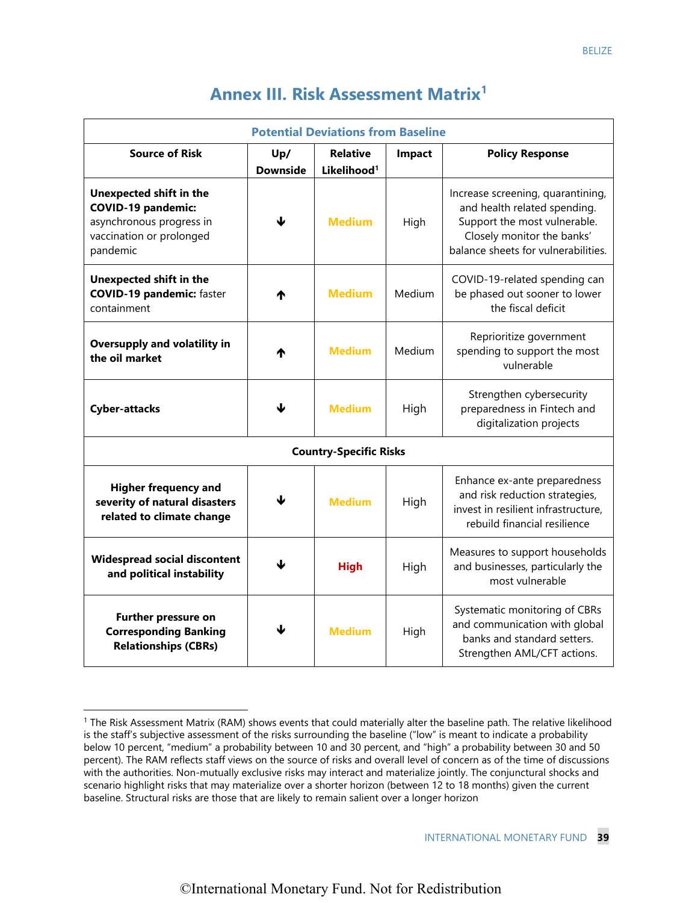| <b>Annex III. Risk Assessment Matrix<sup>1</sup></b> |  |
|------------------------------------------------------|--|
|------------------------------------------------------|--|

| <b>Potential Deviations from Baseline</b>                                                                                |                 |                         |                        |                                                                                                                                                                        |  |  |  |  |  |  |  |
|--------------------------------------------------------------------------------------------------------------------------|-----------------|-------------------------|------------------------|------------------------------------------------------------------------------------------------------------------------------------------------------------------------|--|--|--|--|--|--|--|
| <b>Source of Risk</b>                                                                                                    | Up/             | <b>Relative</b>         | <b>Policy Response</b> |                                                                                                                                                                        |  |  |  |  |  |  |  |
|                                                                                                                          | <b>Downside</b> | Likelihood <sup>1</sup> |                        |                                                                                                                                                                        |  |  |  |  |  |  |  |
| Unexpected shift in the<br><b>COVID-19 pandemic:</b><br>asynchronous progress in<br>vaccination or prolonged<br>pandemic | ⅎ               | <b>Medium</b>           | High                   | Increase screening, quarantining,<br>and health related spending.<br>Support the most vulnerable.<br>Closely monitor the banks'<br>balance sheets for vulnerabilities. |  |  |  |  |  |  |  |
| <b>Unexpected shift in the</b><br><b>COVID-19 pandemic: faster</b><br>containment                                        | Ψ               | <b>Medium</b>           | Medium                 | COVID-19-related spending can<br>be phased out sooner to lower<br>the fiscal deficit                                                                                   |  |  |  |  |  |  |  |
| <b>Oversupply and volatility in</b><br>the oil market                                                                    | ₼               | <b>Medium</b>           | Medium                 | Reprioritize government<br>spending to support the most<br>vulnerable                                                                                                  |  |  |  |  |  |  |  |
| <b>Cyber-attacks</b>                                                                                                     | J               | <b>Medium</b>           | High                   | Strengthen cybersecurity<br>preparedness in Fintech and<br>digitalization projects                                                                                     |  |  |  |  |  |  |  |
| <b>Country-Specific Risks</b>                                                                                            |                 |                         |                        |                                                                                                                                                                        |  |  |  |  |  |  |  |
| <b>Higher frequency and</b><br>severity of natural disasters<br>related to climate change                                | ⅎ               | <b>Medium</b>           | High                   | Enhance ex-ante preparedness<br>and risk reduction strategies,<br>invest in resilient infrastructure.<br>rebuild financial resilience                                  |  |  |  |  |  |  |  |
| <b>Widespread social discontent</b><br>and political instability                                                         |                 | <b>High</b>             | High                   | Measures to support households<br>and businesses, particularly the<br>most vulnerable                                                                                  |  |  |  |  |  |  |  |
| <b>Further pressure on</b><br><b>Corresponding Banking</b><br><b>Relationships (CBRs)</b>                                | ↓               | <b>Medium</b>           | High                   | Systematic monitoring of CBRs<br>and communication with global<br>banks and standard setters.<br>Strengthen AML/CFT actions.                                           |  |  |  |  |  |  |  |

<sup>&</sup>lt;sup>1</sup> The Risk Assessment Matrix (RAM) shows events that could materially alter the baseline path. The relative likelihood is the staff's subjective assessment of the risks surrounding the baseline ("low" is meant to indicate a probability below 10 percent, "medium" a probability between 10 and 30 percent, and "high" a probability between 30 and 50 percent). The RAM reflects staff views on the source of risks and overall level of concern as of the time of discussions with the authorities. Non-mutually exclusive risks may interact and materialize jointly. The conjunctural shocks and scenario highlight risks that may materialize over a shorter horizon (between 12 to 18 months) given the current baseline. Structural risks are those that are likely to remain salient over a longer horizon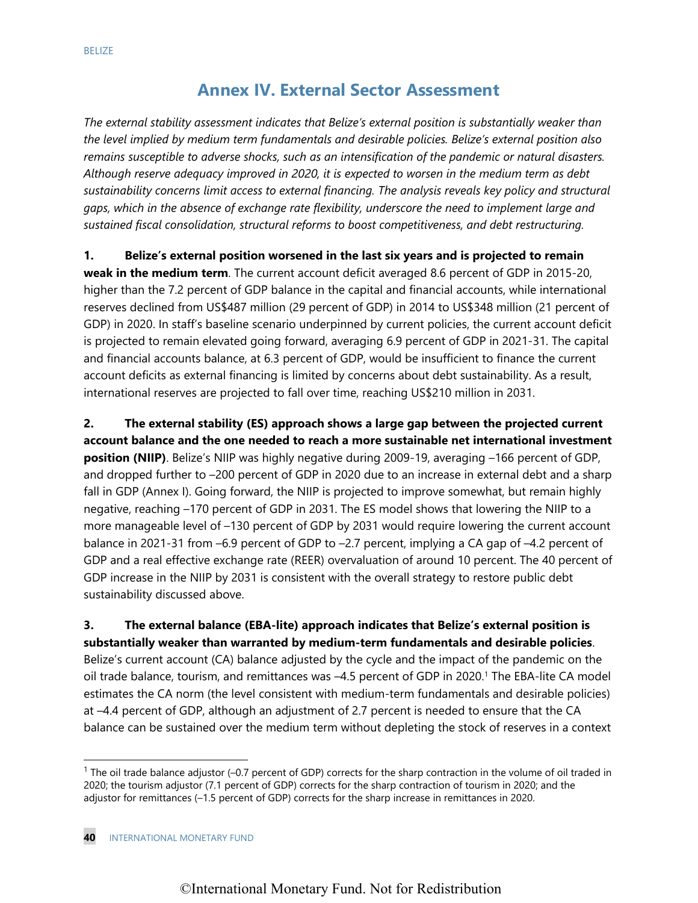# **Annex IV. External Sector Assessment**

*The external stability assessment indicates that Belize's external position is substantially weaker than the level implied by medium term fundamentals and desirable policies. Belize's external position also remains susceptible to adverse shocks, such as an intensification of the pandemic or natural disasters. Although reserve adequacy improved in 2020, it is expected to worsen in the medium term as debt sustainability concerns limit access to external financing. The analysis reveals key policy and structural gaps, which in the absence of exchange rate flexibility, underscore the need to implement large and sustained fiscal consolidation, structural reforms to boost competitiveness, and debt restructuring.* 

**1. Belize's external position worsened in the last six years and is projected to remain** 

**weak in the medium term**. The current account deficit averaged 8.6 percent of GDP in 2015-20, higher than the 7.2 percent of GDP balance in the capital and financial accounts, while international reserves declined from US\$487 million (29 percent of GDP) in 2014 to US\$348 million (21 percent of GDP) in 2020. In staff's baseline scenario underpinned by current policies, the current account deficit is projected to remain elevated going forward, averaging 6.9 percent of GDP in 2021-31. The capital and financial accounts balance, at 6.3 percent of GDP, would be insufficient to finance the current account deficits as external financing is limited by concerns about debt sustainability. As a result, international reserves are projected to fall over time, reaching US\$210 million in 2031.

**2. The external stability (ES) approach shows a large gap between the projected current account balance and the one needed to reach a more sustainable net international investment position (NIIP)**. Belize's NIIP was highly negative during 2009-19, averaging -166 percent of GDP, and dropped further to –200 percent of GDP in 2020 due to an increase in external debt and a sharp fall in GDP (Annex I). Going forward, the NIIP is projected to improve somewhat, but remain highly negative, reaching –170 percent of GDP in 2031. The ES model shows that lowering the NIIP to a more manageable level of –130 percent of GDP by 2031 would require lowering the current account balance in 2021-31 from –6.9 percent of GDP to –2.7 percent, implying a CA gap of –4.2 percent of GDP and a real effective exchange rate (REER) overvaluation of around 10 percent. The 40 percent of GDP increase in the NIIP by 2031 is consistent with the overall strategy to restore public debt sustainability discussed above.

**3. The external balance (EBA-lite) approach indicates that Belize's external position is substantially weaker than warranted by medium-term fundamentals and desirable policies**.

Belize's current account (CA) balance adjusted by the cycle and the impact of the pandemic on the oil trade balance, tourism, and remittances was -4.5 percent of GDP in 2020.<sup>1</sup> The EBA-lite CA model estimates the CA norm (the level consistent with medium-term fundamentals and desirable policies) at –4.4 percent of GDP, although an adjustment of 2.7 percent is needed to ensure that the CA balance can be sustained over the medium term without depleting the stock of reserves in a context

 $1$  The oil trade balance adjustor (-0.7 percent of GDP) corrects for the sharp contraction in the volume of oil traded in 2020; the tourism adjustor (7.1 percent of GDP) corrects for the sharp contraction of tourism in 2020; and the adjustor for remittances (–1.5 percent of GDP) corrects for the sharp increase in remittances in 2020.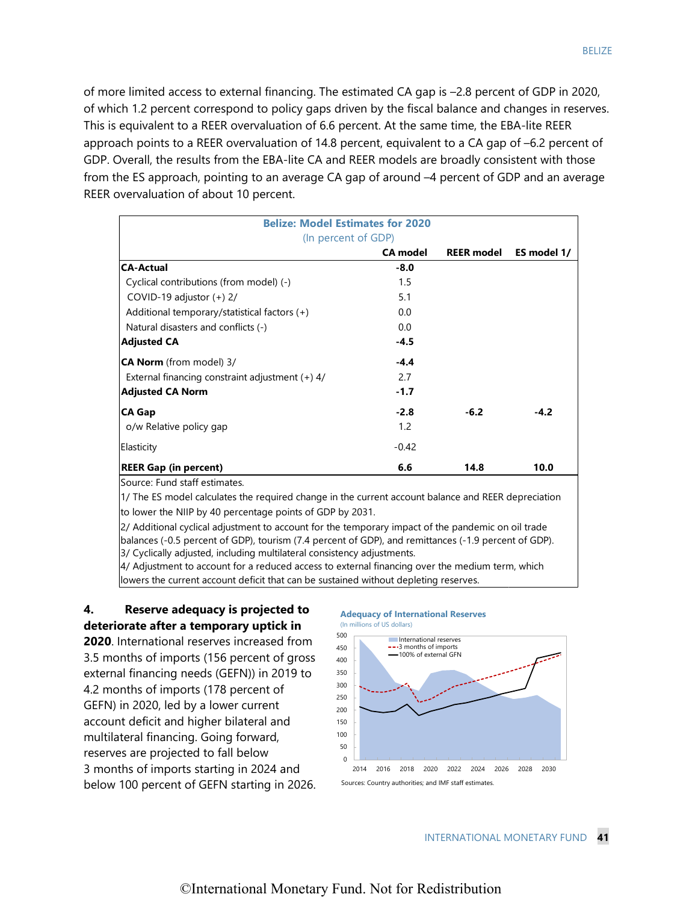of more limited access to external financing. The estimated CA gap is –2.8 percent of GDP in 2020, of which 1.2 percent correspond to policy gaps driven by the fiscal balance and changes in reserves. This is equivalent to a REER overvaluation of 6.6 percent. At the same time, the EBA-lite REER approach points to a REER overvaluation of 14.8 percent, equivalent to a CA gap of –6.2 percent of GDP. Overall, the results from the EBA-lite CA and REER models are broadly consistent with those from the ES approach, pointing to an average CA gap of around –4 percent of GDP and an average REER overvaluation of about 10 percent.

| <b>Belize: Model Estimates for 2020</b>           |                 |                   |             |
|---------------------------------------------------|-----------------|-------------------|-------------|
| (In percent of GDP)                               |                 |                   |             |
|                                                   | <b>CA model</b> | <b>REER model</b> | ES model 1/ |
| <b>CA-Actual</b>                                  | $-8.0$          |                   |             |
| Cyclical contributions (from model) (-)           | 1.5             |                   |             |
| COVID-19 adjustor $(+)$ 2/                        | 5.1             |                   |             |
| Additional temporary/statistical factors (+)      | 0.0             |                   |             |
| Natural disasters and conflicts (-)               | 0.0             |                   |             |
| <b>Adjusted CA</b>                                | $-4.5$          |                   |             |
| CA Norm (from model) 3/                           | $-4.4$          |                   |             |
| External financing constraint adjustment $(+)$ 4/ | 2.7             |                   |             |
| <b>Adjusted CA Norm</b>                           | $-1.7$          |                   |             |
| <b>CA Gap</b>                                     | $-2.8$          | $-6.2$            | $-4.2$      |
| o/w Relative policy gap                           | 1.2             |                   |             |
| Elasticity                                        | $-0.42$         |                   |             |
| <b>REER Gap (in percent)</b>                      | 6.6             | 14.8              | 10.0        |
| Source: Fund staff estimates.                     |                 |                   |             |

1/ The ES model calculates the required change in the current account balance and REER depreciation to lower the NIIP by 40 percentage points of GDP by 2031.

3/ Cyclically adjusted, including multilateral consistency adjustments. 2/ Additional cyclical adjustment to account for the temporary impact of the pandemic on oil trade balances (-0.5 percent of GDP), tourism (7.4 percent of GDP), and remittances (-1.9 percent of GDP).

4/ Adjustment to account for a reduced access to external financing over the medium term, which lowers the current account deficit that can be sustained without depleting reserves.

# **4. Reserve adequacy is projected to deteriorate after a temporary uptick in**

**2020**. International reserves increased from 3.5 months of imports (156 percent of gross external financing needs (GEFN)) in 2019 to 4.2 months of imports (178 percent of GEFN) in 2020, led by a lower current account deficit and higher bilateral and multilateral financing. Going forward, reserves are projected to fall below 3 months of imports starting in 2024 and below 100 percent of GEFN starting in 2026.

#### **Adequacy of International Reserves**

![](_page_37_Figure_8.jpeg)

BELIZE